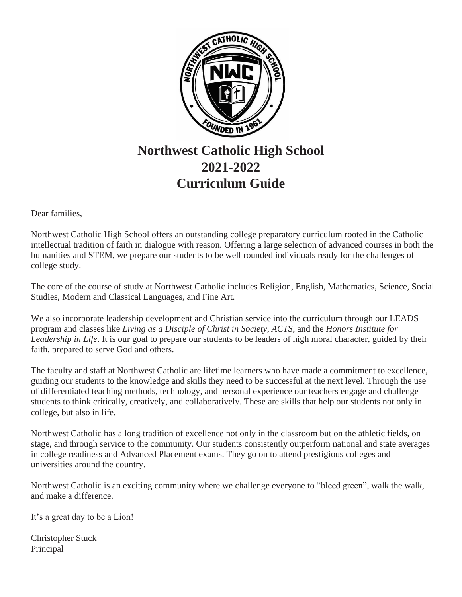

# **Northwest Catholic High School 2021-2022 Curriculum Guide**

Dear families,

Northwest Catholic High School offers an outstanding college preparatory curriculum rooted in the Catholic intellectual tradition of faith in dialogue with reason. Offering a large selection of advanced courses in both the humanities and STEM, we prepare our students to be well rounded individuals ready for the challenges of college study.

The core of the course of study at Northwest Catholic includes Religion, English, Mathematics, Science, Social Studies, Modern and Classical Languages, and Fine Art.

We also incorporate leadership development and Christian service into the curriculum through our LEADS program and classes like *Living as a Disciple of Christ in Society*, *ACTS*, and the *Honors Institute for Leadership in Life*. It is our goal to prepare our students to be leaders of high moral character, guided by their faith, prepared to serve God and others.

The faculty and staff at Northwest Catholic are lifetime learners who have made a commitment to excellence, guiding our students to the knowledge and skills they need to be successful at the next level. Through the use of differentiated teaching methods, technology, and personal experience our teachers engage and challenge students to think critically, creatively, and collaboratively. These are skills that help our students not only in college, but also in life.

Northwest Catholic has a long tradition of excellence not only in the classroom but on the athletic fields, on stage, and through service to the community. Our students consistently outperform national and state averages in college readiness and Advanced Placement exams. They go on to attend prestigious colleges and universities around the country.

Northwest Catholic is an exciting community where we challenge everyone to "bleed green", walk the walk, and make a difference.

It's a great day to be a Lion!

Christopher Stuck Principal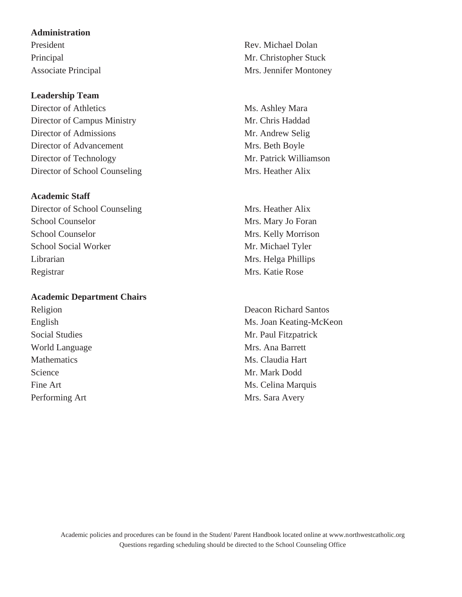### **Administration**

# **Leadership Team**

Director of Athletics Ms. Ashley Mara Director of Campus Ministry Mr. Chris Haddad Director of Admissions Mr. Andrew Selig Director of Advancement Mrs. Beth Boyle Director of Technology Mr. Patrick Williamson Director of School Counseling Mrs. Heather Alix

# **Academic Staff**

Director of School Counseling Mrs. Heather Alix School Counselor Mrs. Mary Jo Foran School Counselor Mrs. Kelly Morrison School Social Worker Mr. Michael Tyler Librarian Mrs. Helga Phillips Registrar Mrs. Katie Rose

#### **Academic Department Chairs**

World Language Mrs. Ana Barrett Mathematics Ms. Claudia Hart Science Mr. Mark Dodd Performing Art Mrs. Sara Avery

President Rev. Michael Dolan Principal Mr. Christopher Stuck Associate Principal Mrs. Jennifer Montoney

Religion Deacon Richard Santos English Ms. Joan Keating-McKeon Social Studies Mr. Paul Fitzpatrick Fine Art Ms. Celina Marquis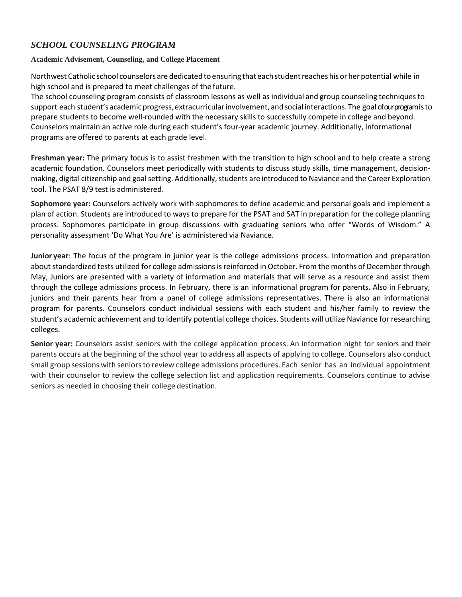# *SCHOOL COUNSELING PROGRAM*

### **Academic Advisement, Counseling, and College Placement**

Northwest Catholic school counselors are dedicated to ensuring that each student reaches his or her potential while in high school and is prepared to meet challenges of the future.

The school counseling program consists of classroom lessons as well as individual and group counseling techniquesto support each student's academic progress, extracurricular involvement, and social interactions. The goal of our program is to prepare students to become well-rounded with the necessary skills to successfully compete in college and beyond. Counselors maintain an active role during each student's four-year academic journey. Additionally, informational programs are offered to parents at each grade level.

**Freshman year:** The primary focus is to assist freshmen with the transition to high school and to help create a strong academic foundation. Counselors meet periodically with students to discuss study skills, time management, decisionmaking, digital citizenship and goal setting. Additionally, students are introduced to Naviance and the Career Exploration tool. The PSAT 8/9 test is administered.

**Sophomore year:** Counselors actively work with sophomores to define academic and personal goals and implement a plan of action. Students are introduced to ways to prepare for the PSAT and SAT in preparation for the college planning process. Sophomores participate in group discussions with graduating seniors who offer "Words of Wisdom." A personality assessment 'Do What You Are' is administered via Naviance.

**Junior year**: The focus of the program in junior year is the college admissions process. Information and preparation about standardized tests utilized for college admissions is reinforced in October. From the months of December through May, Juniors are presented with a variety of information and materials that will serve as a resource and assist them through the college admissions process. In February, there is an informational program for parents. Also in February, juniors and their parents hear from a panel of college admissions representatives. There is also an informational program for parents. Counselors conduct individual sessions with each student and his/her family to review the student's academic achievement and to identify potential college choices. Students will utilize Naviance for researching colleges.

**Senior year:** Counselors assist seniors with the college application process. An information night for seniors and their parents occurs at the beginning of the school year to address all aspects of applying to college. Counselors also conduct small group sessions with seniorsto review college admissions procedures. Each senior has an individual appointment with their counselor to review the college selection list and application requirements. Counselors continue to advise seniors as needed in choosing their college destination.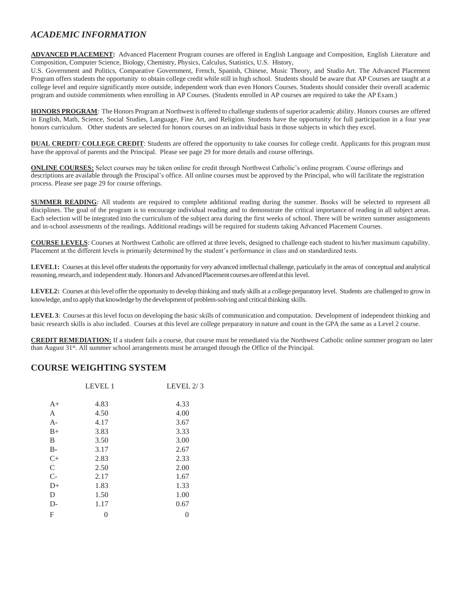# *ACADEMIC INFORMATION*

**ADVANCED PLACEMENT:** Advanced Placement Program courses are offered in English Language and Composition, English Literature and Composition, Computer Science, Biology, Chemistry, Physics, Calculus, Statistics, U.S. History,

U.S. Government and Politics, Comparative Government, French, Spanish, Chinese, Music Theory, and Studio Art. The Advanced Placement Program offers students the opportunity to obtain college credit while still in high school. Students should be aware that AP Courses are taught at a college level and require significantly more outside, independent work than even Honors Courses. Students should consider their overall academic program and outside commitments when enrolling in AP Courses. (Students enrolled in AP courses are required to take the AP Exam.)

HONORS PROGRAM: The Honors Program at Northwest is offered to challenge students of superior academic ability. Honors courses are offered in English, Math, Science, Social Studies, Language, Fine Art, and Religion. Students have the opportunity for full participation in a four year honors curriculum. Other students are selected for honors courses on an individual basis in those subjects in which they excel.

**DUAL CREDIT/ COLLEGE CREDIT:** Students are offered the opportunity to take courses for college credit. Applicants for this program must have the approval of parents and the Principal. Please see page 29 for more details and course offerings.

**ONLINE COURSES:** Select courses may be taken online for credit through Northwest Catholic's online program. Course offerings and descriptions are available through the Principal's office. All online courses must be approved by the Principal, who will facilitate the registration process. Please see page 29 for course offerings.

**SUMMER READING**: All students are required to complete additional reading during the summer. Books will be selected to represent all disciplines. The goal of the program is to encourage individual reading and to demonstrate the critical importance of reading in all subject areas. Each selection will be integrated into the curriculum of the subject area during the first weeks of school. There will be written summer assignments and in-school assessments of the readings. Additional readings will be required for students taking Advanced Placement Courses.

**COURSE LEVELS**: Courses at Northwest Catholic are offered at three levels, designed to challenge each student to his/her maximum capability. Placement at the different levels is primarily determined by the student's performance in class and on standardized tests.

LEVEL1: Courses at this level offer students the opportunity for very advanced intellectual challenge, particularly in the areas of conceptual and analytical reasoning,research,and independentstudy. Honorsand AdvancedPlacementcoursesareofferedatthis level.

LEVEL2: Courses at this level offer the opportunity to develop thinking and study skills at a college preparatory level. Students are challenged to grow in knowledge, and to apply that knowledge by the development of problem-solving and critical thinking skills.

**LEVEL3**: Courses at this level focus on developing the basic skills of communication and computation. Development of independent thinking and basic research skills is also included. Courses at this level are college preparatory in nature and count in the GPA the same as a Level 2 course.

**CREDIT REMEDIATION:** If a student fails a course, that course must be remediated via the Northwest Catholic online summer program no later than August 31st. All summer school arrangements must be arranged through the Office of the Principal.

# **COURSE WEIGHTING SYSTEM**

|                  | <b>LEVEL 1</b> | LEVEL $2/3$ |
|------------------|----------------|-------------|
| A+               | 4.83           | 4.33        |
| A                | 4.50           | 4.00        |
| A-               | 4.17           | 3.67        |
| $_{\rm B+}$      | 3.83           | 3.33        |
| B                | 3.50           | 3.00        |
| B-               | 3.17           | 2.67        |
| $C_{+}$          | 2.83           | 2.33        |
| $\mathsf{C}$     | 2.50           | 2.00        |
| $\overline{C}$ - | 2.17           | 1.67        |
| D+               | 1.83           | 1.33        |
| D                | 1.50           | 1.00        |
| D-               | 1.17           | 0.67        |
| F                |                | 0           |
|                  |                |             |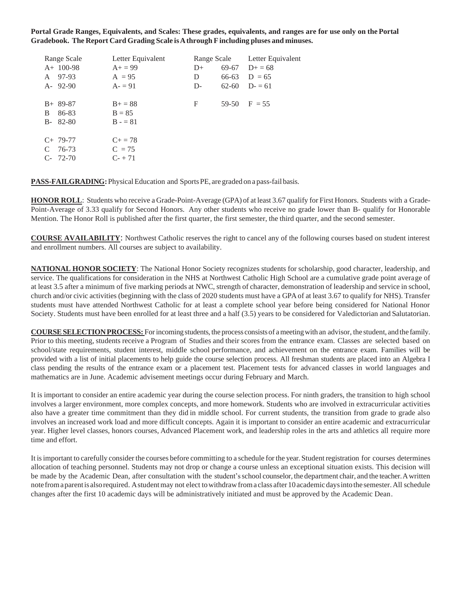**Portal Grade Ranges, Equivalents, and Scales: These grades, equivalents, and ranges are for use only on the Portal Gradebook. The Report Card Grading Scale isAthrough Fincluding pluses and minuses.**

| Range Scale                           | Letter Equivalent                       |      | Range Scale | Letter Equivalent |
|---------------------------------------|-----------------------------------------|------|-------------|-------------------|
| $A+100-98$                            | $A+=99$                                 | $D+$ |             | $69-67$ D+ = 68   |
| 97-93<br>A                            | $A = 95$                                | D    | 66-63       | $D = 65$          |
| $A - 92-90$                           | $A = 91$                                | D-   | $62 - 60$   | $D = 61$          |
| $B+89-87$<br>86-83<br>B<br>$B-82-80$  | $B+ = 88$<br>$B = 85$<br>$B - 81$       | F    | 59-50       | $F = 55$          |
| $C+ 79-77$<br>C<br>76-73<br>$C-72-70$ | $C_{\pm} = 78$<br>$C = 75$<br>$C - +71$ |      |             |                   |

PASS-FAILGRADING: Physical Education and Sports PE, are graded on a pass-fail basis.

**HONOR ROLL**: Students who receive a Grade-Point-Average (GPA) of at least 3.67 qualify for First Honors. Students with a Grade-Point-Average of 3.33 qualify for Second Honors. Any other students who receive no grade lower than B- qualify for Honorable Mention. The Honor Roll is published after the first quarter, the first semester, the third quarter, and the second semester.

**COURSE AVAILABILITY**: Northwest Catholic reserves the right to cancel any of the following courses based on student interest and enrollment numbers. All courses are subject to availability.

**NATIONAL HONOR SOCIETY**: The National Honor Society recognizes students for scholarship, good character, leadership, and service. The qualifications for consideration in the NHS at Northwest Catholic High School are a cumulative grade point average of at least 3.5 after a minimum of five marking periods at NWC, strength of character, demonstration of leadership and service in school, church and/or civic activities (beginning with the class of 2020 students must have a GPA of at least 3.67 to qualify for NHS). Transfer students must have attended Northwest Catholic for at least a complete school year before being considered for National Honor Society. Students must have been enrolled for at least three and a half (3.5) years to be considered for Valedictorian and Salutatorian.

**COURSE SELECTION PROCESS:** For incoming students, the process consists of a meeting with an advisor, the student, and the family. Prior to this meeting, students receive a Program of Studies and their scores from the entrance exam. Classes are selected based on school/state requirements, student interest, middle school performance, and achievement on the entrance exam. Families will be provided with a list of initial placements to help guide the course selection process. All freshman students are placed into an Algebra I class pending the results of the entrance exam or a placement test. Placement tests for advanced classes in world languages and mathematics are in June. Academic advisement meetings occur during February and March.

It is important to consider an entire academic year during the course selection process. For ninth graders, the transition to high school involves a larger environment, more complex concepts, and more homework. Students who are involved in extracurricular activities also have a greater time commitment than they did in middle school. For current students, the transition from grade to grade also involves an increased work load and more difficult concepts. Again it is important to consider an entire academic and extracurricular year. Higher level classes, honors courses, Advanced Placement work, and leadership roles in the arts and athletics all require more time and effort.

It isimportant to carefully consider the courses before committing to a schedule for the year. Student registration for courses determines allocation of teaching personnel. Students may not drop or change a course unless an exceptional situation exists. This decision will be made by the Academic Dean, after consultation with the student's school counselor, the department chair, and the teacher. A written note fromaparentis alsorequired. Astudentmay not elect towithdrawfroma class after 10 academicdaysinto the semester.All schedule changes after the first 10 academic days will be administratively initiated and must be approved by the Academic Dean.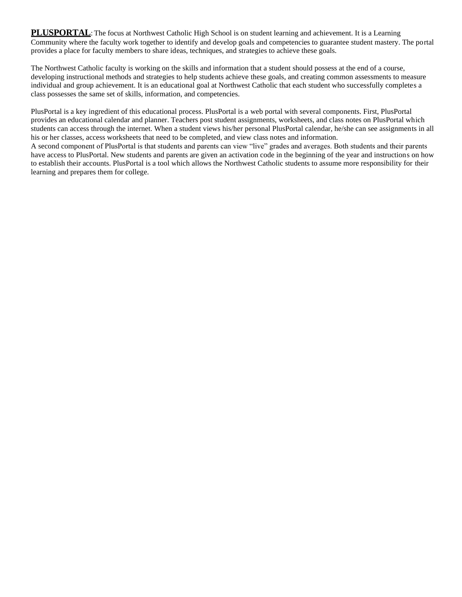**PLUSPORTAL**: The focus at Northwest Catholic High School is on student learning and achievement. It is a Learning Community where the faculty work together to identify and develop goals and competencies to guarantee student mastery. The portal provides a place for faculty members to share ideas, techniques, and strategies to achieve these goals.

The Northwest Catholic faculty is working on the skills and information that a student should possess at the end of a course, developing instructional methods and strategies to help students achieve these goals, and creating common assessments to measure individual and group achievement. It is an educational goal at Northwest Catholic that each student who successfully completes a class possesses the same set of skills, information, and competencies.

PlusPortal is a key ingredient of this educational process. PlusPortal is a web portal with several components. First, PlusPortal provides an educational calendar and planner. Teachers post student assignments, worksheets, and class notes on PlusPortal which students can access through the internet. When a student views his/her personal PlusPortal calendar, he/she can see assignments in all his or her classes, access worksheets that need to be completed, and view class notes and information.

A second component of PlusPortal is that students and parents can view "live" grades and averages. Both students and their parents have access to PlusPortal. New students and parents are given an activation code in the beginning of the year and instructions on how to establish their accounts. PlusPortal is a tool which allows the Northwest Catholic students to assume more responsibility for their learning and prepares them for college.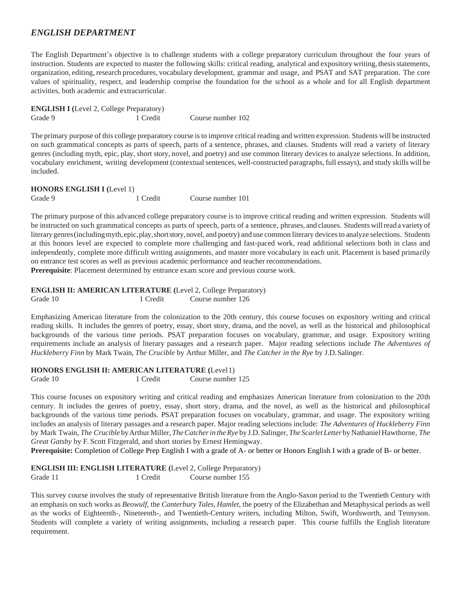# *ENGLISH DEPARTMENT*

The English Department's objective is to challenge students with a college preparatory curriculum throughout the four years of instruction. Students are expected to master the following skills: critical reading, analytical and expository writing, thesisstatements, organization, editing, research procedures, vocabulary development, grammar and usage, and PSAT and SAT preparation. The core values of spirituality, respect, and leadership comprise the foundation for the school as a whole and for all English department activities, both academic and extracurricular.

| <b>ENGLISH I</b> (Level 2, College Preparatory) |          |                   |
|-------------------------------------------------|----------|-------------------|
| Grade 9                                         | 1 Credit | Course number 102 |

The primary purpose of this college preparatory course isto improve critical reading and written expression. Students will be instructed on such grammatical concepts as parts of speech, parts of a sentence, phrases, and clauses. Students will read a variety of literary genres (including myth, epic, play, short story, novel, and poetry) and use common literary devices to analyze selections. In addition, vocabulary enrichment, writing development (contextualsentences, well-constructed paragraphs, full essays), and study skills will be included.

**HONORS ENGLISH I (**Level 1) Grade 9 1 Credit Course number 101

The primary purpose of this advanced college preparatory course is to improve critical reading and written expression. Students will be instructed on such grammatical concepts as parts of speech, parts of a sentence, phrases, and clauses. Students willread a variety of literary genres (including myth, epic, play, short story, novel, and poetry) and use common literary devices to analyze selections. Students at this honors level are expected to complete more challenging and fast-paced work, read additional selections both in class and independently, complete more difficult writing assignments, and master more vocabulary in each unit. Placement is based primarily on entrance test scores as well as previous academic performance and teacher recommendations. **Prerequisite**: Placement determined by entrance exam score and previous course work.

**ENGLISH II: AMERICAN LITERATURE (**Level 2, College Preparatory) Grade 10 1 Credit Course number 126

Emphasizing American literature from the colonization to the 20th century, this course focuses on expository writing and critical reading skills. It includes the genres of poetry, essay, short story, drama, and the novel, as well as the historical and philosophical backgrounds of the various time periods. PSAT preparation focuses on vocabulary, grammar, and usage. Expository writing requirements include an analysis of literary passages and a research paper. Major reading selections include *The Adventures of Huckleberry Finn* by Mark Twain, *The Crucible* by Arthur Miller, and *The Catcher in the Rye* by J.D.Salinger.

#### **HONORS ENGLISH II: AMERICAN LITERATURE (**Level1)

Grade 10 1 Credit Course number 125

This course focuses on expository writing and critical reading and emphasizes American literature from colonization to the 20th century. It includes the genres of poetry, essay, short story, drama, and the novel, as well as the historical and philosophical backgrounds of the various time periods. PSAT preparation focuses on vocabulary, grammar, and usage. The expository writing includes an analysis of literary passages and a research paper. Major reading selections include: *The Adventures of Huckleberry Finn*  by Mark Twain, *The Crucible* byArthurMiller,*TheCatcherin theRye* by J.D.Salinger,*The ScarletLetter* byNathanielHawthorne, *The Great Gatsby* by F. Scott Fitzgerald, and short stories by Ernest Hemingway.

**Prerequisite:** Completion of College Prep English I with a grade of A- or better or Honors English I with a grade of B- or better.

**ENGLISH III: ENGLISH LITERATURE (**Level 2, College Preparatory) Grade 11 1 Credit Course number 155

This survey course involves the study of representative British literature from the Anglo-Saxon period to the Twentieth Century with an emphasis on such works as *Beowulf*, the *Canterbury Tales*, *Hamlet*, the poetry of the Elizabethan and Metaphysical periods as well as the works of Eighteenth-, Nineteenth-, and Twentieth-Century writers, including Milton, Swift, Wordsworth, and Tennyson. Students will complete a variety of writing assignments, including a research paper. This course fulfills the English literature requirement.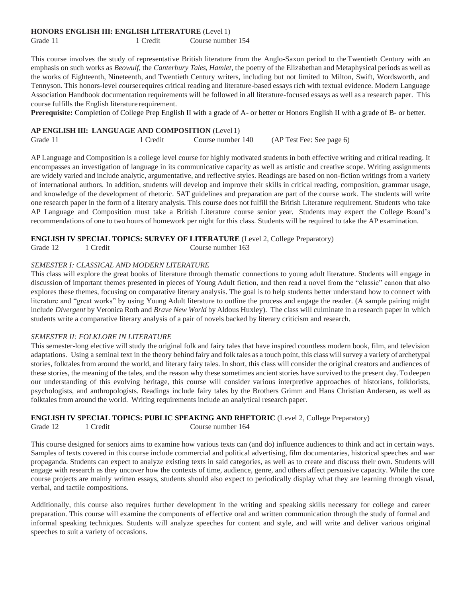#### **HONORS ENGLISH III: ENGLISH LITERATURE** (Level 1)

Grade 11 1 Credit Course number 154

This course involves the study of representative British literature from the Anglo-Saxon period to the Twentieth Century with an emphasis on such works as *Beowulf*, the *Canterbury Tales*, *Hamlet*, the poetry of the Elizabethan and Metaphysical periods as well as the works of Eighteenth, Nineteenth, and Twentieth Century writers, including but not limited to Milton, Swift, Wordsworth, and Tennyson. This honors-level courserequires critical reading and literature-based essays rich with textual evidence. Modern Language Association Handbook documentation requirements will be followed in all literature-focused essays as well as a research paper. This course fulfills the English literature requirement.

**Prerequisite:** Completion of College Prep English II with a grade of A- or better or Honors English II with a grade of B- or better.

#### **AP ENGLISH III: LANGUAGE AND COMPOSITION** (Level 1)

Grade 11 1 Credit Course number 140 (AP Test Fee: See page 6)

AP Language and Composition is a college level course for highly motivated students in both effective writing and critical reading. It encompasses an investigation of language in its communicative capacity as well as artistic and creative scope. Writing assignments are widely varied and include analytic, argumentative, and reflective styles. Readings are based on non-fiction writings from a variety of international authors. In addition, students will develop and improve their skills in critical reading, composition, grammar usage, and knowledge of the development of rhetoric. SAT guidelines and preparation are part of the course work. The students will write one research paper in the form of a literary analysis. This course does not fulfill the British Literature requirement. Students who take AP Language and Composition must take a British Literature course senior year. Students may expect the College Board's recommendations of one to two hours of homework per night for this class. Students will be required to take the AP examination.

#### **ENGLISH IV SPECIAL TOPICS: SURVEY OF LITERATURE** (Level 2, College Preparatory)

Grade 12 1 Credit Course number 163

#### *SEMESTER I: CLASSICAL AND MODERN LITERATURE*

This class will explore the great books of literature through thematic connections to young adult literature. Students will engage in discussion of important themes presented in pieces of Young Adult fiction, and then read a novel from the "classic" canon that also explores these themes, focusing on comparative literary analysis. The goal is to help students better understand how to connect with literature and "great works" by using Young Adult literature to outline the process and engage the reader. (A sample pairing might include *Divergent* by Veronica Roth and *Brave New World* by Aldous Huxley). The class will culminate in a research paper in which students write a comparative literary analysis of a pair of novels backed by literary criticism and research.

#### *SEMESTER II: FOLKLORE IN LITERATURE*

This semester-long elective will study the original folk and fairy tales that have inspired countless modern book, film, and television adaptations. Using a seminal text in the theory behind fairy and folk tales as a touch point, this class willsurvey a variety of archetypal stories, folktalesfrom around the world, and literary fairy tales. In short, this class will consider the original creators and audiences of these stories, the meaning of the tales, and the reason why these sometimes ancient stories have survived to the present day. To deepen our understanding of this evolving heritage, this course will consider various interpretive approaches of historians, folklorists, psychologists, and anthropologists. Readings include fairy tales by the Brothers Grimm and Hans Christian Andersen, as well as folktales from around the world. Writing requirements include an analytical research paper.

#### **ENGLISH IV SPECIAL TOPICS: PUBLIC SPEAKING AND RHETORIC** (Level 2, College Preparatory)

Grade 12 1 Credit Course number 164

This course designed for seniors aims to examine how various texts can (and do) influence audiences to think and act in certain ways. Samples of texts covered in this course include commercial and political advertising, film documentaries, historical speeches and war propaganda. Students can expect to analyze existing texts in said categories, as well as to create and discuss their own. Students will engage with research as they uncover how the contexts of time, audience, genre, and others affect persuasive capacity. While the core course projects are mainly written essays, students should also expect to periodically display what they are learning through visual, verbal, and tactile compositions.

Additionally, this course also requires further development in the writing and speaking skills necessary for college and career preparation. This course will examine the components of effective oral and written communication through the study of formal and informal speaking techniques. Students will analyze speeches for content and style, and will write and deliver various original speeches to suit a variety of occasions.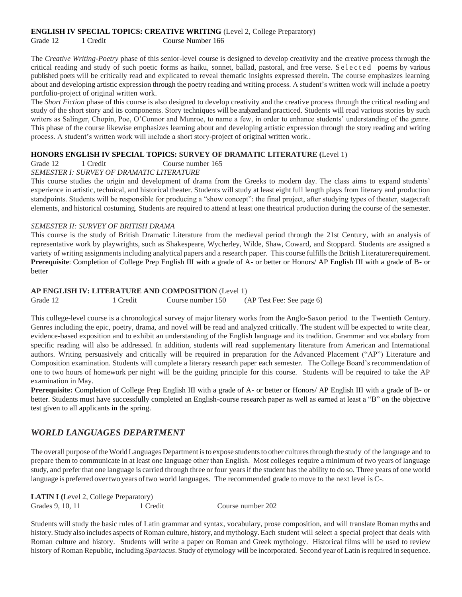#### **ENGLISH IV SPECIAL TOPICS: CREATIVE WRITING** (Level 2, College Preparatory)

Grade 12 1 Credit Course Number 166

The *Creative Writing-Poetry* phase of this senior-level course is designed to develop creativity and the creative process through the critical reading and study of such poetic forms as haiku, sonnet, ballad, pastoral, and free verse. S e l e c t e d poems by various published poets will be critically read and explicated to reveal thematic insights expressed therein. The course emphasizes learning about and developing artistic expression through the poetry reading and writing process. A student's written work will include a poetry portfolio-project of original written work.

The *Short Fiction* phase of this course is also designed to develop creativity and the creative process through the critical reading and study of the short story and its components. Story techniques will be analyzed and practiced. Students will read various stories by such writers as Salinger, Chopin, Poe, O'Connor and Munroe, to name a few, in order to enhance students' understanding of the genre. This phase of the course likewise emphasizes learning about and developing artistic expression through the story reading and writing process. A student's written work will include a short story-project of original written work..

### **HONORS ENGLISH IV SPECIAL TOPICS: SURVEY OF DRAMATIC LITERATURE (**Level 1)

Grade 12 1 Credit Course number 165

#### *SEMESTER I: SURVEY OF DRAMATIC LITERATURE*

This course studies the origin and development of drama from the Greeks to modern day. The class aims to expand students' experience in artistic, technical, and historical theater. Students will study at least eight full length plays from literary and production standpoints. Students will be responsible for producing a "show concept": the final project, after studying types of theater, stagecraft elements, and historical costuming. Students are required to attend at least one theatrical production during the course of the semester.

#### *SEMESTER II: SURVEY OF BRITISH DRAMA*

This course is the study of British Dramatic Literature from the medieval period through the 21st Century, with an analysis of representative work by playwrights, such as Shakespeare, Wycherley, Wilde, Shaw, Coward, and Stoppard. Students are assigned a variety of writing assignments including analytical papers and a research paper. This course fulfills the British Literaturerequirement. **Prerequisite**: Completion of College Prep English III with a grade of A- or better or Honors/ AP English III with a grade of B- or better

#### **AP ENGLISH IV: LITERATURE AND COMPOSITION** (Level 1)

| Grade 12 | 1 Credit | Course number 150 | (AP Test Fee: See page 6) |
|----------|----------|-------------------|---------------------------|

This college-level course is a chronological survey of major literary works from the Anglo-Saxon period to the Twentieth Century. Genres including the epic, poetry, drama, and novel will be read and analyzed critically. The student will be expected to write clear, evidence-based exposition and to exhibit an understanding of the English language and its tradition. Grammar and vocabulary from specific reading will also be addressed. In addition, students will read supplementary literature from American and International authors. Writing persuasively and critically will be required in preparation for the Advanced Placement ("AP") Literature and Composition examination. Students will complete a literary research paper each semester. The College Board's recommendation of one to two hours of homework per night will be the guiding principle for this course. Students will be required to take the AP examination in May.

**Prerequisite:** Completion of College Prep English III with a grade of A- or better or Honors/ AP English III with a grade of B- or better. Students must have successfully completed an English-course research paper as well as earned at least a "B" on the objective test given to all applicants in the spring.

# *WORLD LANGUAGES DEPARTMENT*

The overall purpose of the World Languages Department is to expose students to other cultures through the study of the language and to prepare them to communicate in at least one language other than English. Most colleges require a minimum of two years of language study, and prefer that one language is carried through three or four years if the student hasthe ability to do so. Three years of one world language is preferred overtwo years oftwo world languages. The recommended grade to move to the next level is C-.

| <b>LATIN I</b> (Level 2, College Preparatory) |          |                   |
|-----------------------------------------------|----------|-------------------|
| Grades 9, 10, 11                              | 1 Credit | Course number 202 |

Students will study the basic rules of Latin grammar and syntax, vocabulary, prose composition, and will translate Romanmyths and history. Study also includes aspects of Roman culture, history, and mythology.Each student will select a special project that deals with Roman culture and history. Students will write a paper on Roman and Greek mythology. Historical films will be used to review history of Roman Republic, including *Spartacus*. Study of etymology will be incorporated. Second year ofLatin isrequired in sequence.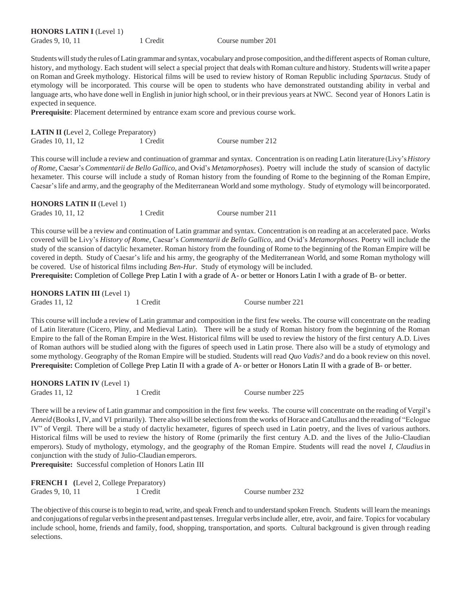| <b>HONORS LATIN I</b> (Level 1) |          |
|---------------------------------|----------|
| Grades 9, 10, 11                | 1 Credit |

Students will study the rules of Latin grammar and syntax, vocabulary and prose composition, and the different aspects of Roman culture, history, and mythology. Each student will select a special project that deals with Roman culture and history. Students will write a paper on Roman and Greek mythology. Historical films will be used to review history of Roman Republic including *Spartacus*. Study of etymology will be incorporated. This course will be open to students who have demonstrated outstanding ability in verbal and language arts, who have done well in English in junior high school, or in their previous years at NWC. Second year of Honors Latin is expected in sequence.

Course number 201

**Prerequisite**: Placement determined by entrance exam score and previous course work.

| <b>LATIN II</b> (Level 2, College Preparatory) |          |                   |
|------------------------------------------------|----------|-------------------|
| Grades 10, 11, 12                              | 1 Credit | Course number 212 |

This course will include a review and continuation of grammar and syntax. Concentration is on reading Latin literature (Livy's*History of Rome,* Caesar's *Commentarii de Bello Gallico,* and Ovid's *Metamorphoses*). Poetry will include the study of scansion of dactylic hexameter. This course will include a study of Roman history from the founding of Rome to the beginning of the Roman Empire, Caesar'slife and army, and the geography of the Mediterranean World and some mythology. Study of etymology will beincorporated.

| <b>HONORS LATIN II</b> (Level 1) |          |                   |
|----------------------------------|----------|-------------------|
| Grades 10, 11, 12                | 1 Credit | Course number 211 |

This course will be a review and continuation of Latin grammar and syntax. Concentration is on reading at an accelerated pace. Works covered will be Livy's *History of Rome*, Caesar's *Commentarii de Bello Gallico*, and Ovid's *Metamorphoses.* Poetry will include the study of the scansion of dactylic hexameter. Roman history from the founding of Rome to the beginning of the Roman Empire will be covered in depth. Study of Caesar's life and his army, the geography of the Mediterranean World, and some Roman mythology will be covered. Use of historical films including *Ben-Hur*. Study of etymology will be included.

**Prerequisite:** Completion of College Prep Latin I with a grade of A- or better or Honors Latin I with a grade of B- or better.

| <b>HONORS LATIN III</b> (Level 1) |          |                   |
|-----------------------------------|----------|-------------------|
| Grades 11, 12                     | 1 Credit | Course number 221 |

This course will include a review of Latin grammar and composition in the first few weeks. The course will concentrate on the reading of Latin literature (Cicero, Pliny, and Medieval Latin). There will be a study of Roman history from the beginning of the Roman Empire to the fall of the Roman Empire in the West. Historical films will be used to review the history of the first century A.D. Lives of Roman authors will be studied along with the figures of speech used in Latin prose. There also will be a study of etymology and some mythology. Geography of the Roman Empire will be studied. Students will read *Quo Vadis?* and do a book review on this novel. **Prerequisite:** Completion of College Prep Latin II with a grade of A- or better or Honors Latin II with a grade of B- or better.

**HONORS LATIN IV** (Level 1) Grades 11, 12 1 Credit Course number 225

There will be a review of Latin grammar and composition in the first few weeks. The course will concentrate on the reading of Vergil's *Aeneid* (Books I, IV, and VI primarily). There also will be selections from the works of Horace and Catullus and the reading of "Eclogue IV" of Vergil. There will be a study of dactylic hexameter, figures of speech used in Latin poetry, and the lives of various authors. Historical films will be used to review the history of Rome (primarily the first century A.D. and the lives of the Julio-Claudian emperors). Study of mythology, etymology, and the geography of the Roman Empire. Students will read the novel *I, Claudius*in conjunction with the study of Julio-Claudian emperors.

**Prerequisite:** Successful completion of Honors Latin III

|                  | <b>FRENCH I</b> (Level 2, College Preparatory) |          |                   |
|------------------|------------------------------------------------|----------|-------------------|
| Grades 9, 10, 11 |                                                | 1 Credit | Course number 232 |

The objective of this course is to begin to read, write, and speak French and to understand spoken French. Students will learn the meanings and conjugations ofregular verbsin thepresent and pasttenses. Irregular verbsinclude aller, etre, avoir, and faire. Topics for vocabulary include school, home, friends and family, food, shopping, transportation, and sports. Cultural background is given through reading selections.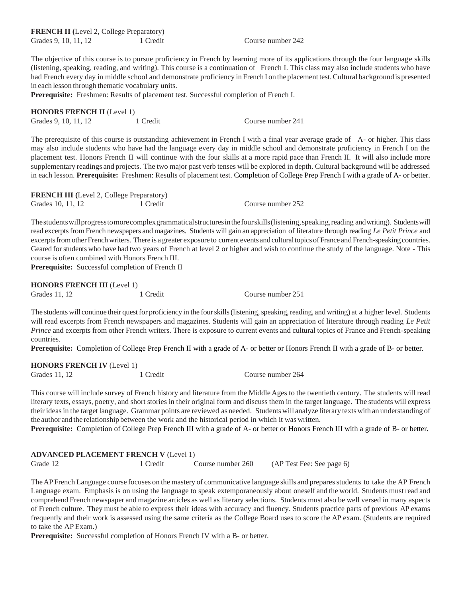The objective of this course is to pursue proficiency in French by learning more of its applications through the four language skills (listening, speaking, reading, and writing). This course is a continuation of French I. This class may also include students who have had French every day in middle school and demonstrate proficiency in French I on the placement test.Cultural background is presented in each lesson through thematic vocabulary units.

**Prerequisite:** Freshmen: Results of placement test. Successful completion of French I.

| <b>HONORS FRENCH II</b> (Level 1) |          |                   |
|-----------------------------------|----------|-------------------|
| Grades 9, 10, 11, 12              | 1 Credit | Course number 241 |

The prerequisite of this course is outstanding achievement in French I with a final year average grade of A- or higher. This class may also include students who have had the language every day in middle school and demonstrate proficiency in French I on the placement test. Honors French II will continue with the four skills at a more rapid pace than French II. It will also include more supplementary readings and projects. The two major past verb tenses will be explored in depth. Cultural background will be addressed in each lesson. **Prerequisite:** Freshmen: Results of placement test. Completion of College Prep French I with a grade of A- or better.

| <b>FRENCH III</b> (Level 2, College Preparatory) |          |                   |
|--------------------------------------------------|----------|-------------------|
| Grades 10, 11, 12                                | 1 Credit | Course number 252 |

The students will progress to more complex grammatical structures in the four skills (listening, speaking, reading and writing). Students will read excerptsfrom French newspapers and magazines. Students will gain an appreciation of literature through reading *Le Petit Prince* and excerpts from other French writers. There is a greater exposure to current events and cultural topics of France and French-speaking countries. Geared forstudents who have had two years of French at level 2 or higher and wish to continue the study of the language. Note - This course is often combined with Honors French III.

**Prerequisite:** Successful completion of French II

| <b>HONORS FRENCH III</b> (Level 1) |          |                   |
|------------------------------------|----------|-------------------|
| Grades 11, 12                      | 1 Credit | Course number 251 |

The students will continue their quest for proficiency in the four skills (listening, speaking, reading, and writing) at a higher level. Students will read excerpts from French newspapers and magazines. Students will gain an appreciation of literature through reading *Le Petit Prince* and excerpts from other French writers. There is exposure to current events and cultural topics of France and French-speaking countries.

**Prerequisite:** Completion of College Prep French II with a grade of A- or better or Honors French II with a grade of B- or better.

**HONORS FRENCH IV** (Level 1) Grades 11, 12 1 Credit Course number 264

This course will include survey of French history and literature from the Middle Ages to the twentieth century. The students will read literary texts, essays, poetry, and short stories in their original form and discuss them in the target language. The students will express their ideasin the target language. Grammar points are reviewed as needed. Studentswill analyze literary textswith an understanding of the author and the relationship between the work and the historical period in which it was written.

**Prerequisite:** Completion of College Prep French III with a grade of A- or better or Honors French III with a grade of B- or better.

| <b>ADVANCED PLACEMENT FRENCH V (Level 1)</b> |          |                   |                           |
|----------------------------------------------|----------|-------------------|---------------------------|
| Grade 12                                     | 1 Credit | Course number 260 | (AP Test Fee: See page 6) |

The AP French Language course focuses on the mastery of communicative language skills and prepares students to take the AP French Language exam. Emphasis is on using the language to speak extemporaneously about oneself and the world. Students must read and comprehend French newspaper and magazine articles as well as literary selections. Students must also be well versed in many aspects of French culture. They must be able to express their ideas with accuracy and fluency. Students practice parts of previous AP exams frequently and their work is assessed using the same criteria as the College Board uses to score the AP exam. (Students are required to take the AP Exam.)

**Prerequisite:** Successful completion of Honors French IV with a B- or better.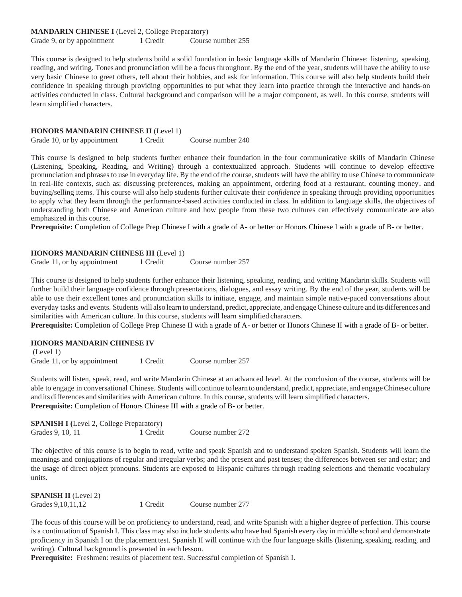This course is designed to help students build a solid foundation in basic language skills of Mandarin Chinese: listening, speaking, reading, and writing. Tones and pronunciation will be a focus throughout. By the end of the year, students will have the ability to use very basic Chinese to greet others, tell about their hobbies, and ask for information. This course will also help students build their confidence in speaking through providing opportunities to put what they learn into practice through the interactive and hands-on activities conducted in class. Cultural background and comparison will be a major component, as well. In this course, students will learn simplified characters.

#### **HONORS MANDARIN CHINESE II** (Level 1)

Grade 10, or by appointment 1 Credit Course number 240

This course is designed to help students further enhance their foundation in the four communicative skills of Mandarin Chinese (Listening, Speaking, Reading, and Writing) through a contextualized approach. Students will continue to develop effective pronunciation and phrases to use in everyday life. By the end of the course, students will have the ability to use Chinese to communicate in real-life contexts, such as: discussing preferences, making an appointment, ordering food at a restaurant, counting money, and buying/selling items. This course will also help students further cultivate their *confidence* in speaking through providing opportunities to apply what they learn through the performance-based activities conducted in class. In addition to language skills, the objectives of understanding both Chinese and American culture and how people from these two cultures can effectively communicate are also emphasized in this course.

**Prerequisite:** Completion of College Prep Chinese I with a grade of A- or better or Honors Chinese I with a grade of B- or better.

#### **HONORS MANDARIN CHINESE III** (Level 1)

Grade 11, or by appointment 1 Credit Course number 257

This course is designed to help students further enhance their listening, speaking, reading, and writing Mandarin skills. Students will further build their language confidence through presentations, dialogues, and essay writing. By the end of the year, students will be able to use their excellent tones and pronunciation skills to initiate, engage, and maintain simple native-paced conversations about everyday tasks and events. Students will also learn to understand, predict, appreciate, and engage Chinese culture and its differences and similarities with American culture. In this course, students will learn simplified characters.

**Prerequisite:** Completion of College Prep Chinese II with a grade of A- or better or Honors Chinese II with a grade of B- or better.

#### **HONORS MANDARIN CHINESE IV**

(Level 1) Grade 11, or by appointment 1 Credit Course number 257

Students will listen, speak, read, and write Mandarin Chinese at an advanced level. At the conclusion of the course, students will be able to engage in conversational Chinese. Students will continue to learn to understand, predict, appreciate, and engage Chinese culture and its differences and similarities with American culture. In this course, students will learn simplified characters. **Prerequisite:** Completion of Honors Chinese III with a grade of B- or better.

| <b>SPANISH I</b> (Level 2, College Preparatory) |          |                   |
|-------------------------------------------------|----------|-------------------|
| Grades 9, 10, 11                                | 1 Credit | Course number 272 |

The objective of this course is to begin to read, write and speak Spanish and to understand spoken Spanish. Students will learn the meanings and conjugations of regular and irregular verbs; and the present and past tenses; the differences between ser and estar; and the usage of direct object pronouns. Students are exposed to Hispanic cultures through reading selections and thematic vocabulary units.

| <b>SPANISH II</b> (Level 2) |          |                   |
|-----------------------------|----------|-------------------|
| Grades 9, 10, 11, 12        | 1 Credit | Course number 277 |

The focus of this course will be on proficiency to understand, read, and write Spanish with a higher degree of perfection. This course is a continuation of Spanish I. This class may also include students who have had Spanish every day in middle school and demonstrate proficiency in Spanish I on the placement test. Spanish II will continue with the four language skills (listening, speaking, reading, and writing). Cultural background is presented in each lesson.

**Prerequisite:** Freshmen: results of placement test. Successful completion of Spanish I.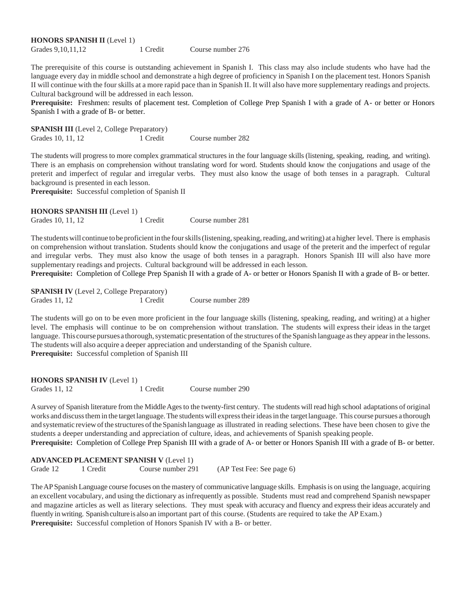**HONORS SPANISH II** (Level 1) Grades 9, 10, 11, 12 1 Credit Course number 276

The prerequisite of this course is outstanding achievement in Spanish I. This class may also include students who have had the language every day in middle school and demonstrate a high degree of proficiency in Spanish I on the placement test. Honors Spanish II will continue with the four skills at a more rapid pace than in Spanish II. It will also have more supplementary readings and projects. Cultural background will be addressed in each lesson.

**Prerequisite:** Freshmen: results of placement test. Completion of College Prep Spanish I with a grade of A- or better or Honors Spanish I with a grade of B- or better.

**SPANISH III** (Level 2, College Preparatory) Grades 10, 11, 12 1 Credit Course number 282

The students will progress to more complex grammatical structures in the four language skills (listening, speaking, reading, and writing). There is an emphasis on comprehension without translating word for word. Students should know the conjugations and usage of the preterit and imperfect of regular and irregular verbs. They must also know the usage of both tenses in a paragraph. Cultural background is presented in each lesson.

**Prerequisite:** Successful completion of Spanish II

 **HONORS SPANISH III** (Level 1) Grades 10, 11, 12 1 Credit Course number 281

The students will continue to be proficient in the four skills (listening, speaking, reading, and writing) at a higher level. There is emphasis on comprehension without translation. Students should know the conjugations and usage of the preterit and the imperfect of regular and irregular verbs. They must also know the usage of both tenses in a paragraph. Honors Spanish III will also have more supplementary readings and projects. Cultural background will be addressed in each lesson.

**Prerequisite:** Completion of College Prep Spanish II with a grade of A- or better or Honors Spanish II with a grade of B- or better.

**SPANISH IV** (Level 2, College Preparatory) Grades 11, 12 1 Credit Course number 289

The students will go on to be even more proficient in the four language skills (listening, speaking, reading, and writing) at a higher level. The emphasis will continue to be on comprehension without translation. The students will express their ideas in the target language. This course pursues a thorough, systematic presentation of the structures of the Spanish language as they appear in the lessons. The students will also acquire a deeper appreciation and understanding of the Spanish culture.

**Prerequisite:** Successful completion of Spanish III

| <b>HONORS SPANISH IV</b> (Level 1) |          |                   |
|------------------------------------|----------|-------------------|
| Grades 11, 12                      | 1 Credit | Course number 290 |

Asurvey of Spanish literature from the MiddleAgesto the twenty-first century. The students will read high school adaptations of original works and discussthemin the targetlanguage.The studentswill expresstheirideasin the targetlanguage. This course pursues a thorough and systematic reviewofthe structures oftheSpanish language as illustrated in reading selections. These have been chosen to give the students a deeper understanding and appreciation of culture, ideas, and achievements of Spanish speaking people.

**Prerequisite:** Completion of College Prep Spanish III with a grade of A- or better or Honors Spanish III with a grade of B- or better.

#### **ADVANCED PLACEMENT SPANISH V** (Level 1)

Grade 12 1 Credit Course number 291 (AP Test Fee: See page 6)

TheAPSpanish Language course focuses on the mastery of communicative language skills. Emphasisis on using the language, acquiring an excellent vocabulary, and using the dictionary asinfrequently as possible. Students must read and comprehend Spanish newspaper and magazine articles as well as literary selections. They must speak with accuracy and fluency and express their ideas accurately and fluently in writing. Spanish culture is also an important part of this course. (Students are required to take the AP Exam.) **Prerequisite:** Successful completion of Honors Spanish IV with a B- or better.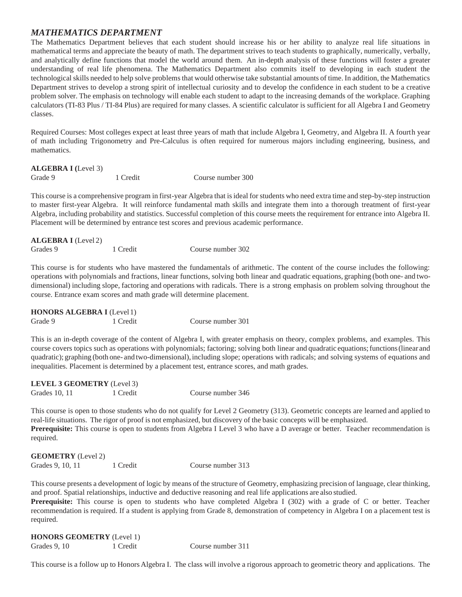# *MATHEMATICS DEPARTMENT*

The Mathematics Department believes that each student should increase his or her ability to analyze real life situations in mathematical terms and appreciate the beauty of math. The department strives to teach students to graphically, numerically, verbally, and analytically define functions that model the world around them. An in-depth analysis of these functions will foster a greater understanding of real life phenomena. The Mathematics Department also commits itself to developing in each student the technological skills needed to help solve problems that would otherwise take substantial amounts of time. In addition, the Mathematics Department strives to develop a strong spirit of intellectual curiosity and to develop the confidence in each student to be a creative problem solver. The emphasis on technology will enable each student to adapt to the increasing demands of the workplace. Graphing calculators (TI-83 Plus / TI-84 Plus) are required formany classes. A scientific calculator is sufficient for all Algebra I and Geometry classes.

Required Courses: Most colleges expect at least three years of math that include Algebra I, Geometry, and Algebra II. A fourth year of math including Trigonometry and Pre-Calculus is often required for numerous majors including engineering, business, and mathematics.

#### **ALGEBRA I (**Level 3)

Grade 9 1 Credit Course number 300

This course is a comprehensive program in first-year Algebra that is ideal for students who need extra time and step-by-step instruction to master first-year Algebra. It will reinforce fundamental math skills and integrate them into a thorough treatment of first-year Algebra, including probability and statistics. Successful completion of this course meets the requirement for entrance into Algebra II. Placement will be determined by entrance test scores and previous academic performance.

| <b>ALGEBRA I</b> (Level 2) |          |                   |
|----------------------------|----------|-------------------|
| Grades 9                   | 1 Credit | Course number 302 |

This course is for students who have mastered the fundamentals of arithmetic. The content of the course includes the following: operations with polynomials and fractions, linear functions, solving both linear and quadratic equations, graphing (both one- and twodimensional) including slope, factoring and operations with radicals. There is a strong emphasis on problem solving throughout the course. Entrance exam scores and math grade will determine placement.

| <b>HONORS ALGEBRA I</b> (Level 1) |          |                   |
|-----------------------------------|----------|-------------------|
| Grade 9                           | 1 Credit | Course number 301 |

This is an in-depth coverage of the content of Algebra I, with greater emphasis on theory, complex problems, and examples. This course covers topics such as operations with polynomials; factoring; solving both linear and quadratic equations;functions(linear and quadratic); graphing (both one- and two-dimensional), including slope; operations with radicals; and solving systems of equations and inequalities. Placement is determined by a placement test, entrance scores, and math grades.

| <b>LEVEL 3 GEOMETRY</b> (Level 3) |          |                   |
|-----------------------------------|----------|-------------------|
| Grades 10, 11                     | 1 Credit | Course number 346 |

This course is open to those students who do not qualify for Level 2 Geometry (313). Geometric concepts are learned and applied to real-life situations. The rigor of proof is not emphasized, but discovery of the basic concepts will be emphasized. **Prerequisite:** This course is open to students from Algebra I Level 3 who have a D average or better. Teacher recommendation is required.

| <b>GEOMETRY</b> (Level 2) |          |                   |
|---------------------------|----------|-------------------|
| Grades 9, 10, 11          | 1 Credit | Course number 313 |

This course presents a development of logic by means of the structure of Geometry, emphasizing precision of language, clear thinking, and proof. Spatial relationships, inductive and deductive reasoning and real life applications are also studied.

**Prerequisite:** This course is open to students who have completed Algebra I (302) with a grade of C or better. Teacher recommendation is required. If a student is applying from Grade 8, demonstration of competency in Algebra I on a placement test is required.

| <b>HONORS GEOMETRY</b> (Level 1) |          |                   |
|----------------------------------|----------|-------------------|
| Grades 9, 10                     | 1 Credit | Course number 311 |

This course is a follow up to Honors Algebra I. The class will involve a rigorous approach to geometric theory and applications. The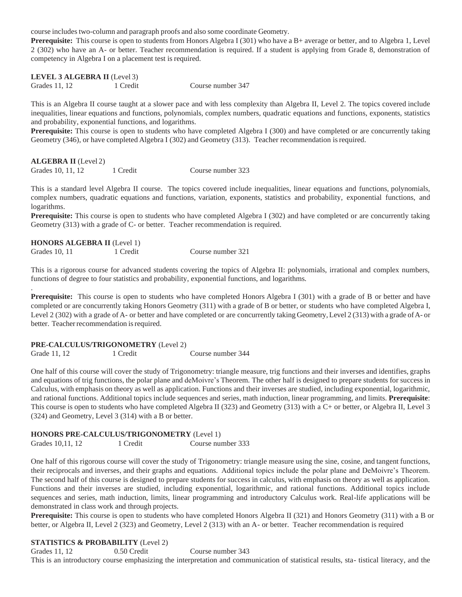course includestwo-column and paragraph proofs and also some coordinate Geometry.

**Prerequisite:** This course is open to students from Honors Algebra I (301) who have a B+ average or better, and to Algebra 1, Level 2 (302) who have an A- or better. Teacher recommendation is required. If a student is applying from Grade 8, demonstration of competency in Algebra I on a placement test is required.

**LEVEL 3 ALGEBRA II** (Level 3)

Grades 11, 12 1 Credit Course number 347

This is an Algebra II course taught at a slower pace and with less complexity than Algebra II, Level 2. The topics covered include inequalities, linear equations and functions, polynomials, complex numbers, quadratic equations and functions, exponents, statistics and probability, exponential functions, and logarithms.

**Prerequisite:** This course is open to students who have completed Algebra I (300) and have completed or are concurrently taking Geometry (346), or have completed Algebra I (302) and Geometry (313). Teacher recommendation isrequired.

| <b>ALGEBRA II</b> (Level 2) |          |                   |
|-----------------------------|----------|-------------------|
| Grades 10, 11, 12           | 1 Credit | Course number 323 |

This is a standard level Algebra II course. The topics covered include inequalities, linear equations and functions, polynomials, complex numbers, quadratic equations and functions, variation, exponents, statistics and probability, exponential functions, and logarithms.

**Prerequisite:** This course is open to students who have completed Algebra I (302) and have completed or are concurrently taking Geometry (313) with a grade of C- or better. Teacher recommendation is required.

#### **HONORS ALGEBRA II** (Level 1)

.

This is a rigorous course for advanced students covering the topics of Algebra II: polynomials, irrational and complex numbers, functions of degree to four statistics and probability, exponential functions, and logarithms.

**Prerequisite:** This course is open to students who have completed Honors Algebra I (301) with a grade of B or better and have completed or are concurrently taking Honors Geometry (311) with a grade of B or better, or students who have completed Algebra I, Level 2 (302) with a grade of A- or better and have completed or are concurrently taking Geometry, Level 2 (313) with a grade of A- or better. Teacher recommendation is required.

#### **PRE-CALCULUS/TRIGONOMETRY** (Level 2)

Grade 11, 12 1 Credit Course number 344

One half of this course will cover the study of Trigonometry: triangle measure, trig functions and their inverses and identifies, graphs and equations of trig functions, the polar plane and deMoivre's Theorem. The other half is designed to prepare students for success in Calculus, with emphasis on theory as well as application. Functions and their inverses are studied, including exponential, logarithmic, and rational functions. Additional topics include sequences and series, math induction, linear programming, and limits. **Prerequisite**: This course is open to students who have completed Algebra II (323) and Geometry (313) with a C+ or better, or Algebra II, Level 3 (324) and Geometry, Level 3 (314) with a B or better.

#### **HONORS PRE-CALCULUS/TRIGONOMETRY** (Level 1)

Grades 10,11, 12 1 Credit Course number 333

One half of this rigorous course will cover the study of Trigonometry: triangle measure using the sine, cosine, and tangent functions, their reciprocals and inverses, and their graphs and equations. Additional topics include the polar plane and DeMoivre's Theorem. The second half of this course is designed to prepare students for success in calculus, with emphasis on theory as well as application. Functions and their inverses are studied, including exponential, logarithmic, and rational functions. Additional topics include sequences and series, math induction, limits, linear programming and introductory Calculus work. Real-life applications will be demonstrated in class work and through projects.

**Prerequisite:** This course is open to students who have completed Honors Algebra II (321) and Honors Geometry (311) with a B or better, or Algebra II, Level 2 (323) and Geometry, Level 2 (313) with an A- or better. Teacher recommendation is required

#### **STATISTICS & PROBABILITY** (Level 2)

Grades 11, 12 0.50 Credit Course number 343 This is an introductory course emphasizing the interpretation and communication of statistical results, sta- tistical literacy, and the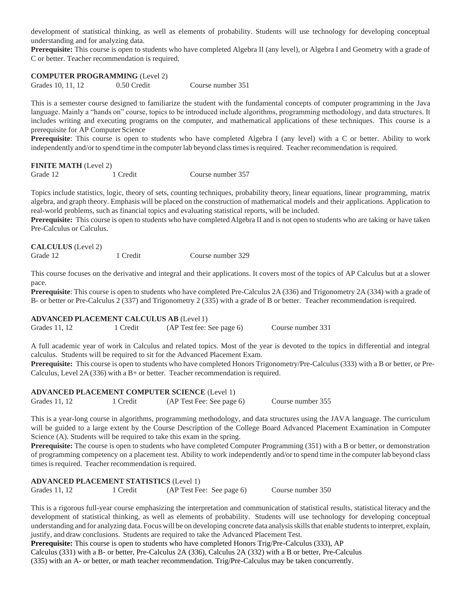development of statistical thinking, as well as elements of probability. Students will use technology for developing conceptual understanding and for analyzing data.

**Prerequisite:** This course is open to students who have completed Algebra II (any level), or Algebra I and Geometry with a grade of C or better. Teacher recommendation is required.

#### **COMPUTER PROGRAMMING** (Level 2)

**CALCULUS** (Level 2)

Grades 10, 11, 12 0.50 Credit Course number 351

This is a semester course designed to familiarize the student with the fundamental concepts of computer programming in the Java language. Mainly a "hands on" course, topics to be introduced include algorithms, programming methodology, and data structures. It includes writing and executing programs on the computer, and mathematical applications of these techniques. This course is a prerequisite for AP Computer Science

**Prerequisite**: This course is open to students who have completed Algebra I (any level) with a C or better. Ability to work independently and/or to spend time in the computer lab beyond class times is required. Teacher recommendation is required.

# **FINITE MATH** (Level 2) Grade 12 1 Credit Course number 357

Topics include statistics, logic, theory of sets, counting techniques, probability theory, linear equations, linear programming, matrix algebra, and graph theory. Emphasis will be placed on the construction of mathematical models and their applications. Application to real-world problems, such as financial topics and evaluating statistical reports, will be included.

**Prerequisite:** This course is open to students who have completed Algebra II and is not open to students who are taking or have taken Pre-Calculus or Calculus.

| <b>CALCULUS</b> (Level 2) |          |                   |
|---------------------------|----------|-------------------|
| Grade 12                  | 1 Credit | Course number 329 |

This course focuses on the derivative and integral and their applications. It covers most of the topics of AP Calculus but at a slower pace.

**Prerequisite**: This course is open to students who have completed Pre-Calculus 2A (336) and Trigonometry 2A (334) with a grade of B- or better or Pre-Calculus 2 (337) and Trigonometry 2 (335) with a grade of B or better. Teacher recommendation isrequired.

#### **ADVANCED PLACEMENT CALCULUS AB** (Level 1)

| Grades 11, 12 | 1 Credit | (AP Test fee: See page 6) | Course number 331 |
|---------------|----------|---------------------------|-------------------|

A full academic year of work in Calculus and related topics. Most of the year is devoted to the topics in differential and integral calculus. Students will be required to sit for the Advanced Placement Exam.

**Prerequisite:** This course is open to students who have completed Honors Trigonometry/Pre-Calculus (333) with a B or better, or Pre-Calculus, Level 2A (336) with a B+ or better. Teacher recommendation is required.

#### **ADVANCED PLACEMENT COMPUTER SCIENCE** (Level 1) Grades 11, 12 1 Credit (AP Test Fee: See page 6) Course number 355

This is a year-long course in algorithms, programming methodology, and data structures using the JAVA language. The curriculum will be guided to a large extent by the Course Description of the College Board Advanced Placement Examination in Computer Science (A). Students will be required to take this exam in the spring.

**Prerequisite:** The course is open to students who have completed Computer Programming (351) with a B or better, or demonstration of programming competency on a placement test. Ability to work independently and/or to spend time in the computer lab beyond class times is required. Teacher recommendation is required.

#### **ADVANCED PLACEMENT STATISTICS** (Level 1)

Grades 11, 12 1 Credit (AP Test Fee: See page 6) Course number 350

This is a rigorous full-year course emphasizing the interpretation and communication of statistical results, statistical literacy and the development of statistical thinking, as well as elements of probability. Students will use technology for developing conceptual understanding and for analyzing data. Focus will be on developing concrete data analysisskillsthat enable studentsto interpret, explain, justify, and draw conclusions. Students are required to take the Advanced Placement Test.

 **Prerequisite:** This course is open to students who have completed Honors Trig/Pre-Calculus (333), AP Calculus (331) with a B- or better, Pre-Calculus 2A (336), Calculus 2A (332) with a B or better, Pre-Calculus

(335) with an A- or better, or math teacher recommendation. Trig/Pre-Calculus may be taken concurrently.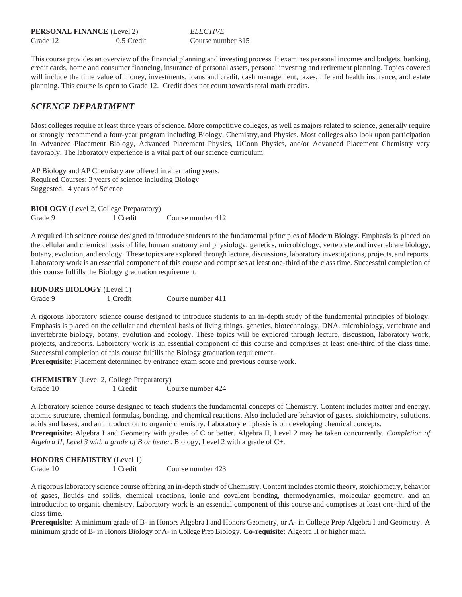**PERSONAL FINANCE** (Level 2) *ELECTIVE* Grade 12 0.5 Credit Course number 315

This course provides an overview of the financial planning and investing process. It examines personal incomes and budgets, banking, credit cards, home and consumer financing, insurance of personal assets, personal investing and retirement planning. Topics covered will include the time value of money, investments, loans and credit, cash management, taxes, life and health insurance, and estate planning. This course is open to Grade 12. Credit does not count towards total math credits.

### *SCIENCE DEPARTMENT*

Most colleges require at least three years of science. More competitive colleges, as well as majors related to science, generally require or strongly recommend a four-year program including Biology, Chemistry, and Physics. Most colleges also look upon participation in Advanced Placement Biology, Advanced Placement Physics, UConn Physics, and/or Advanced Placement Chemistry very favorably. The laboratory experience is a vital part of our science curriculum.

AP Biology and AP Chemistry are offered in alternating years. Required Courses: 3 years of science including Biology Suggested: 4 years of Science

**BIOLOGY** (Level 2, College Preparatory) Grade 9 1 Credit Course number 412

A required lab science course designed to introduce students to the fundamental principles of Modern Biology. Emphasis is placed on the cellular and chemical basis of life, human anatomy and physiology, genetics, microbiology, vertebrate and invertebrate biology, botany, evolution, and ecology. These topics are explored through lecture, discussions, laboratory investigations, projects, and reports. Laboratory work is an essential component of this course and comprises at least one-third of the class time. Successful completion of this course fulfills the Biology graduation requirement.

**HONORS BIOLOGY** (Level 1) Grade 9 1 Credit Course number 411

A rigorous laboratory science course designed to introduce students to an in-depth study of the fundamental principles of biology. Emphasis is placed on the cellular and chemical basis of living things, genetics, biotechnology, DNA, microbiology, vertebrate and invertebrate biology, botany, evolution and ecology. These topics will be explored through lecture, discussion, laboratory work, projects, and reports. Laboratory work is an essential component of this course and comprises at least one-third of the class time. Successful completion of this course fulfills the Biology graduation requirement.

**Prerequisite:** Placement determined by entrance exam score and previous course work.

**CHEMISTRY** (Level 2, College Preparatory) Grade 10 1 Credit Course number 424

A laboratory science course designed to teach students the fundamental concepts of Chemistry. Content includes matter and energy, atomic structure, chemical formulas, bonding, and chemical reactions. Also included are behavior of gases, stoichiometry, solutions, acids and bases, and an introduction to organic chemistry. Laboratory emphasis is on developing chemical concepts. **Prerequisite:** Algebra I and Geometry with grades of C or better. Algebra II, Level 2 may be taken concurrently. *Completion of Algebra II, Level 3 with a grade of B or better*. Biology, Level 2 with a grade of C+.

| <b>HONORS CHEMISTRY</b> (Level 1) |          |                   |
|-----------------------------------|----------|-------------------|
| Grade 10                          | 1 Credit | Course number 423 |

A rigorous laboratory science course offering an in-depth study of Chemistry. Content includes atomic theory, stoichiometry, behavior of gases, liquids and solids, chemical reactions, ionic and covalent bonding, thermodynamics, molecular geometry, and an introduction to organic chemistry. Laboratory work is an essential component of this course and comprises at least one-third of the class time.

**Prerequisite**: A minimum grade of B- in Honors Algebra I and Honors Geometry, or A- in College Prep Algebra I and Geometry. A minimum grade of B- in Honors Biology or A- in College Prep Biology. **Co-requisite:** Algebra II or higher math.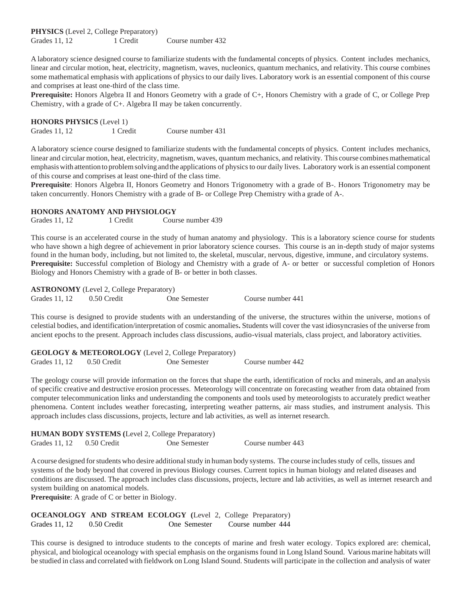**PHYSICS** (Level 2, College Preparatory) Grades 11, 12 1 Credit Course number 432

A laboratory science designed course to familiarize students with the fundamental concepts of physics. Content includes mechanics, linear and circular motion, heat, electricity, magnetism, waves, nucleonics, quantum mechanics, and relativity. This course combines some mathematical emphasis with applications of physics to our daily lives. Laboratory work is an essential component of this course and comprises at least one-third of the class time.

**Prerequisite:** Honors Algebra II and Honors Geometry with a grade of C+, Honors Chemistry with a grade of C, or College Prep Chemistry, with a grade of C+. Algebra II may be taken concurrently.

**HONORS PHYSICS** (Level 1) Grades 11, 12 1 Credit Course number 431

A laboratory science course designed to familiarize students with the fundamental concepts of physics. Content includes mechanics, linear and circular motion, heat, electricity, magnetism, waves, quantum mechanics, and relativity. This course combinesmathematical emphasiswith attention to problemsolving and the applications of physicsto our daily lives. Laboratory work is an essential component of this course and comprises at least one-third of the class time.

**Prerequisite**: Honors Algebra II, Honors Geometry and Honors Trigonometry with a grade of B-. Honors Trigonometry may be taken concurrently. Honors Chemistry with a grade of B- or College Prep Chemistry witha grade of A-.

#### **HONORS ANATOMY AND PHYSIOLOGY**

Grades 11, 12 1 Credit Course number 439

This course is an accelerated course in the study of human anatomy and physiology. This is a laboratory science course for students who have shown a high degree of achievement in prior laboratory science courses. This course is an in-depth study of major systems found in the human body, including, but not limited to, the skeletal, muscular, nervous, digestive, immune, and circulatory systems. **Prerequisite:** Successful completion of Biology and Chemistry with a grade of A- or better or successful completion of Honors Biology and Honors Chemistry with a grade of B- or better in both classes.

**ASTRONOMY** (Level 2, College Preparatory)

Grades 11, 12 0.50 Credit One Semester Course number 441

This course is designed to provide students with an understanding of the universe, the structures within the universe, motions of celestial bodies, and identification/interpretation of cosmic anomalies**.** Students will cover the vast idiosyncrasies of the universe from ancient epochs to the present. Approach includes class discussions, audio-visual materials, class project, and laboratory activities.

| <b>GEOLOGY &amp; METEOROLOGY</b> (Level 2, College Preparatory) |             |              |                   |
|-----------------------------------------------------------------|-------------|--------------|-------------------|
| Grades 11, 12                                                   | 0.50 Credit | One Semester | Course number 442 |

The geology course will provide information on the forces that shape the earth, identification of rocks and minerals, and an analysis of specific creative and destructive erosion processes. Meteorology will concentrate on forecasting weather from data obtained from computer telecommunication links and understanding the components and tools used by meteorologists to accurately predict weather phenomena. Content includes weather forecasting, interpreting weather patterns, air mass studies, and instrument analysis. This approach includes class discussions, projects, lecture and lab activities, as well as internet research.

|                             | <b>HUMAN BODY SYSTEMS</b> (Level 2, College Preparatory) |                   |
|-----------------------------|----------------------------------------------------------|-------------------|
| Grades $11, 12$ 0.50 Credit | One Semester                                             | Course number 443 |

Acourse designed forstudents who desire additionalstudy in human body systems. The course includesstudy of cells, tissues and systems of the body beyond that covered in previous Biology courses. Current topics in human biology and related diseases and conditions are discussed. The approach includes class discussions, projects, lecture and lab activities, as well as internet research and system building on anatomical models.

**Prerequisite**: A grade of C or better in Biology.

**OCEANOLOGY AND STREAM ECOLOGY (**Level 2, College Preparatory) Grades 11, 12 0.50 Credit One Semester Course number 444

This course is designed to introduce students to the concepts of marine and fresh water ecology. Topics explored are: chemical, physical, and biological oceanology with special emphasis on the organisms found in Long Island Sound. Variousmarine habitats will be studied in class and correlated with fieldwork on Long Island Sound. Students will participate in the collection and analysis of water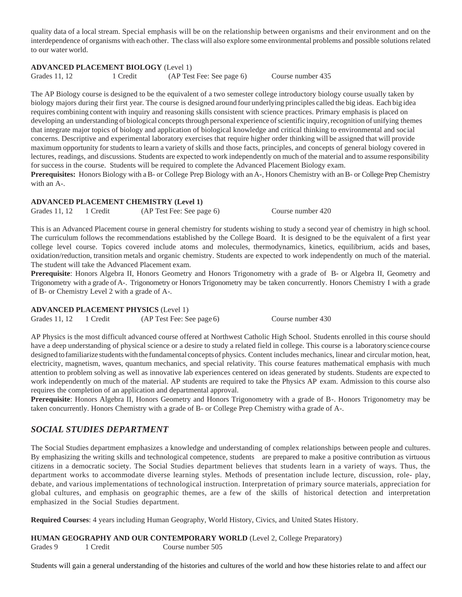quality data of a local stream. Special emphasis will be on the relationship between organisms and their environment and on the interdependence of organisms with each other. The class will also explore some environmental problems and possible solutions related to our water world.

#### **ADVANCED PLACEMENT BIOLOGY** (Level 1)

Grades 11, 12 1 Credit (AP Test Fee: See page 6) Course number 435

The AP Biology course is designed to be the equivalent of a two semester college introductory biology course usually taken by biology majors during their first year. The course is designed around four underlying principles called the big ideas. Each big idea requires combining content with inquiry and reasoning skills consistent with science practices. Primary emphasis is placed on developing an understanding of biological concepts through personal experience of scientific inquiry, recognition of unifying themes that integrate major topics of biology and application of biological knowledge and critical thinking to environmental and social concerns. Descriptive and experimental laboratory exercises that require higher order thinking will be assigned that will provide maximum opportunity for students to learn a variety of skills and those facts, principles, and concepts of general biology covered in lectures, readings, and discussions. Students are expected to work independently on much of the material and to assume responsibility for success in the course. Students will be required to complete the Advanced Placement Biology exam. **Prerequisites:** Honors Biology with aB- or College Prep Biology with an A-, Honors Chemistry with anB- or College Prep Chemistry

with an A-.

#### **ADVANCED PLACEMENT CHEMISTRY (Level 1)**

Grades 11, 12 1 Credit (AP Test Fee: See page 6) Course number 420

This is an Advanced Placement course in general chemistry for students wishing to study a second year of chemistry in high school. The curriculum follows the recommendations established by the College Board. It is designed to be the equivalent of a first year college level course. Topics covered include atoms and molecules, thermodynamics, kinetics, equilibrium, acids and bases, oxidation/reduction, transition metals and organic chemistry. Students are expected to work independently on much of the material. The student will take the Advanced Placement exam.

**Prerequisite**: Honors Algebra II, Honors Geometry and Honors Trigonometry with a grade of B- or Algebra II, Geometry and Trigonometry with a grade ofA-. Trigonometry or Honors Trigonometry may be taken concurrently. Honors Chemistry I with a grade of B- or Chemistry Level 2 with a grade of A-.

**ADVANCED PLACEMENT PHYSICS** (Level 1)

Grades 11, 12 1 Credit (AP Test Fee: See page 6) Course number 430

AP Physics is the most difficult advanced course offered at Northwest Catholic High School. Students enrolled in this course should have a deep understanding of physical science or a desire to study a related field in college. This course is a laboratory science course designed to familiarize students with the fundamental concepts of physics. Content includes mechanics, linear and circular motion, heat, electricity, magnetism, waves, quantum mechanics, and special relativity. This course features mathematical emphasis with much attention to problem solving as well as innovative lab experiences centered on ideas generated by students. Students are expected to work independently on much of the material. AP students are required to take the Physics AP exam. Admission to this course also requires the completion of an application and departmental approval.

**Prerequisite**: Honors Algebra II, Honors Geometry and Honors Trigonometry with a grade of B-. Honors Trigonometry may be taken concurrently. Honors Chemistry with a grade of B- or College Prep Chemistry witha grade of A-.

# *SOCIAL STUDIES DEPARTMENT*

The Social Studies department emphasizes a knowledge and understanding of complex relationships between people and cultures. By emphasizing the writing skills and technological competence, students are prepared to make a positive contribution as virtuous citizens in a democratic society. The Social Studies department believes that students learn in a variety of ways. Thus, the department works to accommodate diverse learning styles. Methods of presentation include lecture, discussion, role- play, debate, and various implementations of technological instruction. Interpretation of primary source materials, appreciation for global cultures, and emphasis on geographic themes, are a few of the skills of historical detection and interpretation emphasized in the Social Studies department.

**Required Courses**: 4 years including Human Geography, World History, Civics, and United States History.

**HUMAN GEOGRAPHY AND OUR CONTEMPORARY WORLD** (Level 2, College Preparatory) Grades 9 1 Credit Course number 505

Students will gain a general understanding of the histories and cultures of the world and how these histories relate to and affect our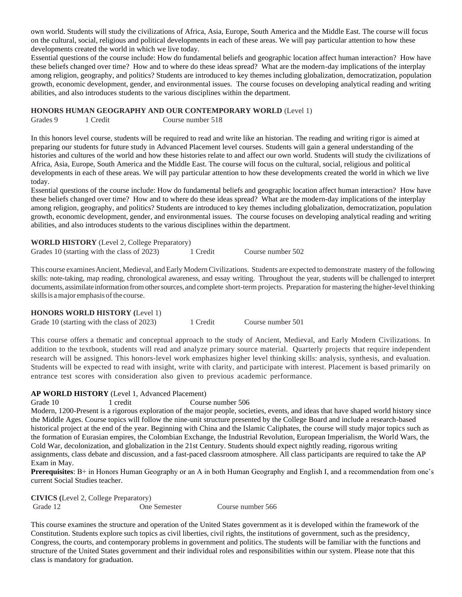own world. Students will study the civilizations of Africa, Asia, Europe, South America and the Middle East. The course will focus on the cultural, social, religious and political developments in each of these areas. We will pay particular attention to how these developments created the world in which we live today.

Essential questions of the course include: How do fundamental beliefs and geographic location affect human interaction? How have these beliefs changed over time? How and to where do these ideas spread? What are the modern-day implications of the interplay among religion, geography, and politics? Students are introduced to key themes including globalization, democratization, population growth, economic development, gender, and environmental issues. The course focuses on developing analytical reading and writing abilities, and also introduces students to the various disciplines within the department.

#### **HONORS HUMAN GEOGRAPHY AND OUR CONTEMPORARY WORLD** (Level 1)

Grades 9 1 Credit Course number 518

In this honors level course, students will be required to read and write like an historian. The reading and writing rigor is aimed at preparing our students for future study in Advanced Placement level courses. Students will gain a general understanding of the histories and cultures of the world and how these histories relate to and affect our own world. Students will study the civilizations of Africa, Asia, Europe, South America and the Middle East. The course will focus on the cultural, social, religious and political developments in each of these areas. We will pay particular attention to how these developments created the world in which we live today.

Essential questions of the course include: How do fundamental beliefs and geographic location affect human interaction? How have these beliefs changed over time? How and to where do these ideas spread? What are the modern-day implications of the interplay among religion, geography, and politics? Students are introduced to key themes including globalization, democratization, population growth, economic development, gender, and environmental issues. The course focuses on developing analytical reading and writing abilities, and also introduces students to the various disciplines within the department.

| <b>WORLD HISTORY</b> (Level 2, College Preparatory) |          |                   |
|-----------------------------------------------------|----------|-------------------|
| Grades 10 (starting with the class of 2023)         | 1 Credit | Course number 502 |

This course examines Ancient, Medieval, and Early Modern Civilizations. Students are expected to demonstrate mastery of the following skills: note-taking, map reading, chronological awareness, and essay writing. Throughout the year, students will be challenged to interpret documents, assimilate information fromothersources, and complete short-term projects. Preparation for mastering the higher-levelthinking skills is a major emphasis of the course.

#### **HONORS WORLD HISTORY (**Level 1)

Grade 10 (starting with the class of 2023) 1 Credit Course number 501

This course offers a thematic and conceptual approach to the study of Ancient, Medieval, and Early Modern Civilizations. In addition to the textbook, students will read and analyze primary source material. Quarterly projects that require independent research will be assigned. This honors-level work emphasizes higher level thinking skills: analysis, synthesis, and evaluation. Students will be expected to read with insight, write with clarity, and participate with interest. Placement is based primarily on entrance test scores with consideration also given to previous academic performance.

#### **AP WORLD HISTORY** (Level 1, Advanced Placement)

Grade 10 1 credit Course number 506

Modern, 1200-Present is a rigorous exploration of the major people, societies, events, and ideas that have shaped world history since the Middle Ages. Course topics will follow the nine-unit structure presented by the College Board and include a research-based historical project at the end of the year. Beginning with China and the Islamic Caliphates, the course will study major topics such as the formation of Eurasian empires, the Colombian Exchange, the Industrial Revolution, European Imperialism, the World Wars, the Cold War, decolonization, and globalization in the 21st Century. Students should expect nightly reading, rigorous writing assignments, class debate and discussion, and a fast-paced classroom atmosphere. All class participants are required to take the AP Exam in May.

**Prerequisites**: B+ in Honors Human Geography or an A in both Human Geography and English I, and a recommendation from one's current Social Studies teacher.

**CIVICS (**Level 2, College Preparatory) Grade 12 One Semester Course number 566

This course examines the structure and operation of the United States government as it is developed within the framework of the Constitution. Students explore such topics as civil liberties, civil rights, the institutions of government, such as the presidency, Congress, the courts, and contemporary problems in government and politics.The students will be familiar with the functions and structure of the United States government and their individual roles and responsibilities within our system. Please note that this class is mandatory for graduation.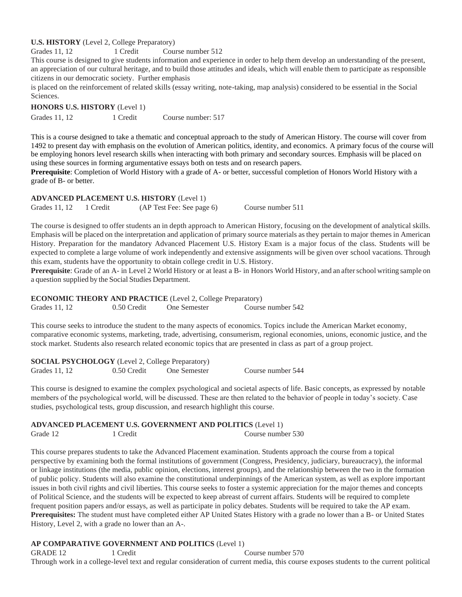#### **U.S. HISTORY** (Level 2, College Preparatory)

Grades 11, 12 1 Credit Course number 512

This course is designed to give students information and experience in order to help them develop an understanding of the present, an appreciation of our cultural heritage, and to build those attitudes and ideals, which will enable them to participate as responsible citizens in our democratic society. Further emphasis

is placed on the reinforcement of related skills (essay writing, note-taking, map analysis) considered to be essential in the Social Sciences.

**HONORS U.S. HISTORY** (Level 1)

Grades 11, 12 1 Credit Course number: 517

This is a course designed to take a thematic and conceptual approach to the study of American History. The course will cover from 1492 to present day with emphasis on the evolution of American politics, identity, and economics. A primary focus of the course will be employing honors level research skills when interacting with both primary and secondary sources. Emphasis will be placed on using these sources in forming argumentative essays both on tests and on research papers.

**Prerequisite**: Completion of World History with a grade of A- or better, successful completion of Honors World History with a grade of B- or better.

#### **ADVANCED PLACEMENT U.S. HISTORY** (Level 1) Grades 11, 12 1 Credit (AP Test Fee: See page 6) Course number 511

The course is designed to offer students an in depth approach to American History, focusing on the development of analytical skills. Emphasis will be placed on the interpretation and application of primary source materials as they pertain to major themes in American History. Preparation for the mandatory Advanced Placement U.S. History Exam is a major focus of the class. Students will be expected to complete a large volume of work independently and extensive assignments will be given over school vacations. Through this exam, students have the opportunity to obtain college credit in U.S. History.

**Prerequisite**: Grade of an A- in Level 2 World History or at least a B- in Honors World History, and an afterschool writing sample on a question supplied by the Social Studies Department.

**ECONOMIC THEORY AND PRACTICE** (Level 2, College Preparatory) Grades 11, 12 0.50 Credit One Semester Course number 542

This course seeks to introduce the student to the many aspects of economics. Topics include the American Market economy, comparative economic systems, marketing, trade, advertising, consumerism, regional economies, unions, economic justice, and the stock market. Students also research related economic topics that are presented in class as part of a group project.

| <b>SOCIAL PSYCHOLOGY</b> (Level 2, College Preparatory) |             |              |                   |
|---------------------------------------------------------|-------------|--------------|-------------------|
| Grades 11, 12                                           | 0.50 Credit | One Semester | Course number 544 |

This course is designed to examine the complex psychological and societal aspects of life. Basic concepts, as expressed by notable members of the psychological world, will be discussed. These are then related to the behavior of people in today's society. Case studies, psychological tests, group discussion, and research highlight this course.

#### **ADVANCED PLACEMENT U.S. GOVERNMENT AND POLITICS** (Level 1)

Grade 12 1 Credit 1 Credit Course number 530

This course prepares students to take the Advanced Placement examination. Students approach the course from a topical perspective by examining both the formal institutions of government (Congress, Presidency, judiciary, bureaucracy), the informal or linkage institutions (the media, public opinion, elections, interest groups), and the relationship between the two in the formation of public policy. Students will also examine the constitutional underpinnings of the American system, as well as explore important issues in both civil rights and civil liberties. This course seeks to foster a systemic appreciation for the major themes and concepts of Political Science, and the students will be expected to keep abreast of current affairs. Students will be required to complete frequent position papers and/or essays, as well as participate in policy debates. Students will be required to take the AP exam. **Prerequisites:** The student must have completed either AP United States History with a grade no lower than a B- or United States History, Level 2, with a grade no lower than an A-.

#### **AP COMPARATIVE GOVERNMENT AND POLITICS** (Level 1)

GRADE 12 1 Credit Course number 570 Through work in a college-level text and regular consideration of current media, this course exposes students to the current political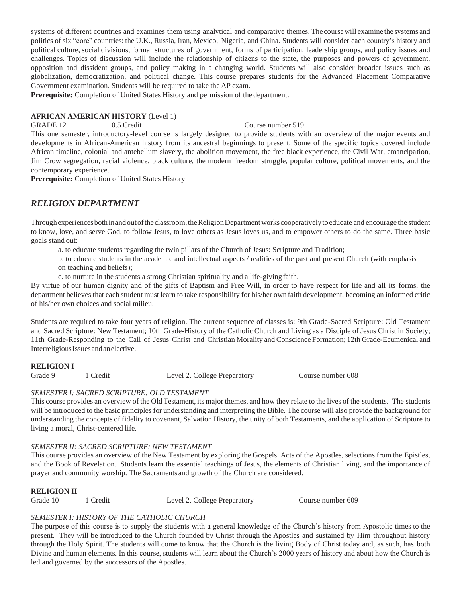systems of different countries and examines them using analytical and comparative themes. The course will examine the systems and politics of six "core" countries: the U.K., Russia, Iran, Mexico, Nigeria, and China. Students will consider each country's history and political culture, social divisions, formal structures of government, forms of participation, leadership groups, and policy issues and challenges. Topics of discussion will include the relationship of citizens to the state, the purposes and powers of government, opposition and dissident groups, and policy making in a changing world. Students will also consider broader issues such as globalization, democratization, and political change. This course prepares students for the Advanced Placement Comparative Government examination. Students will be required to take the AP exam.

**Prerequisite:** Completion of United States History and permission of the department.

### **AFRICAN AMERICAN HISTORY** (Level 1)

GRADE 12 0.5 Credit Course number 519 This one semester, introductory-level course is largely designed to provide students with an overview of the major events and developments in African-American history from its ancestral beginnings to present. Some of the specific topics covered include African timeline, colonial and antebellum slavery, the abolition movement, the free black experience, the Civil War, emancipation, Jim Crow segregation, racial violence, black culture, the modern freedom struggle, popular culture, political movements, and the contemporary experience.

**Prerequisite:** Completion of United States History

# *RELIGION DEPARTMENT*

Through experiences both in and out of the classroom, the Religion Department works cooperatively to educate and encourage the student to know, love, and serve God, to follow Jesus, to love others as Jesus loves us, and to empower others to do the same. Three basic goals stand out:

a. to educate students regarding the twin pillars of the Church of Jesus: Scripture and Tradition;

b. to educate students in the academic and intellectual aspects / realities of the past and present Church (with emphasis on teaching and beliefs);

c. to nurture in the students a strong Christian spirituality and a life-givingfaith.

By virtue of our human dignity and of the gifts of Baptism and Free Will, in order to have respect for life and all its forms, the department believes that each student must learn to take responsibility for his/her own faith development, becoming an informed critic of his/her own choices and social milieu.

Students are required to take four years of religion. The current sequence of classes is: 9th Grade-Sacred Scripture: Old Testament and Sacred Scripture: New Testament; 10th Grade-History of the Catholic Church and Living as a Disciple of Jesus Christ in Society; 11th Grade-Responding to the Call of Jesus Christ and Christian Morality and Conscience Formation; 12th Grade-Ecumenical and Interreligious Issues and an elective.

#### **RELIGION I**

Grade 9 1 Credit Level 2, College Preparatory Course number 608

# *SEMESTER I: SACRED SCRIPTURE: OLD TESTAMENT*

This course provides an overview of the Old Testament, its major themes, and how they relate to the lives of the students. The students will be introduced to the basic principles for understanding and interpreting the Bible. The course will also provide the background for understanding the concepts of fidelity to covenant, Salvation History, the unity of both Testaments, and the application of Scripture to living a moral, Christ-centered life.

# *SEMESTER II: SACRED SCRIPTURE: NEW TESTAMENT*

This course provides an overview of the New Testament by exploring the Gospels, Acts of the Apostles, selections from the Epistles, and the Book of Revelation. Students learn the essential teachings of Jesus, the elements of Christian living, and the importance of prayer and community worship. The Sacraments and growth of the Church are considered.

#### **RELIGION II**

Grade 10 1 Credit Level 2, College Preparatory Course number 609

# *SEMESTER I: HISTORY OF THE CATHOLIC CHURCH*

The purpose of this course is to supply the students with a general knowledge of the Church's history from Apostolic times to the present. They will be introduced to the Church founded by Christ through the Apostles and sustained by Him throughout history through the Holy Spirit. The students will come to know that the Church is the living Body of Christ today and, as such, has both Divine and human elements. In this course, students will learn about the Church's 2000 years of history and about how the Church is led and governed by the successors of the Apostles.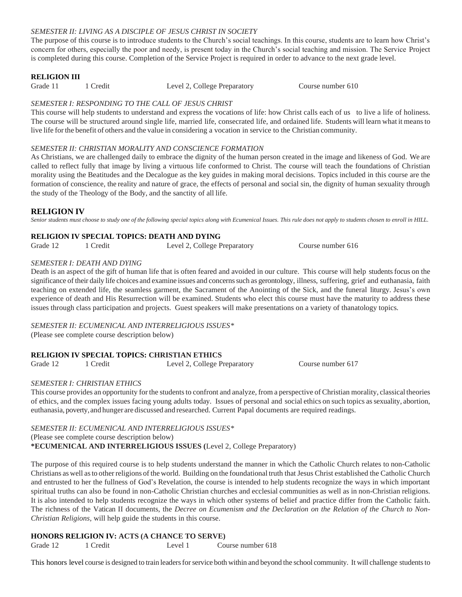#### *SEMESTER II: LIVING AS A DISCIPLE OF JESUS CHRIST IN SOCIETY*

The purpose of this course is to introduce students to the Church's social teachings. In this course, students are to learn how Christ's concern for others, especially the poor and needy, is present today in the Church's social teaching and mission. The Service Project is completed during this course. Completion of the Service Project is required in order to advance to the next grade level.

#### **RELIGION III**

Grade 11 1 Credit 1 1 Credit Level 2, College Preparatory Course number 610

#### *SEMESTER I: RESPONDING TO THE CALL OF JESUS CHRIST*

This course will help students to understand and express the vocations of life: how Christ calls each of us to live a life of holiness. The course will be structured around single life, married life, consecrated life, and ordained life. Students will learn what it meansto live life forthe benefit of others and the value in considering a vocation in service to the Christian community.

#### *SEMESTER II: CHRISTIAN MORALITY AND CONSCIENCE FORMATION*

As Christians, we are challenged daily to embrace the dignity of the human person created in the image and likeness of God. We are called to reflect fully that image by living a virtuous life conformed to Christ. The course will teach the foundations of Christian morality using the Beatitudes and the Decalogue as the key guides in making moral decisions. Topics included in this course are the formation of conscience, the reality and nature of grace, the effects of personal and social sin, the dignity of human sexuality through the study of the Theology of the Body, and the sanctity of all life.

#### **RELIGION IV**

*Senior students must choose to study one of the following special topics along with Ecumenical Issues. This rule does not apply to students chosen to enroll in HILL.*

#### **RELIGION IV SPECIAL TOPICS: DEATH AND DYING**

Grade 12 1 Credit 1 2 2, College Preparatory Course number 616

#### *SEMESTER I: DEATH AND DYING*

Death is an aspect of the gift of human life that is often feared and avoided in our culture. This course will help studentsfocus on the significance of their daily life choices and examine issues and concerns such as gerontology, illness, suffering, grief and euthanasia, faith teaching on extended life, the seamless garment, the Sacrament of the Anointing of the Sick, and the funeral liturgy. Jesus's own experience of death and His Resurrection will be examined. Students who elect this course must have the maturity to address these issues through class participation and projects. Guest speakers will make presentations on a variety of thanatology topics.

*SEMESTER II: ECUMENICAL AND INTERRELIGIOUS ISSUES\** (Please see complete course description below)

# **RELIGION IV SPECIAL TOPICS: CHRISTIAN ETHICS**

Grade 12 1 Credit 1 2 2, College Preparatory Course number 617

#### *SEMESTER I: CHRISTIAN ETHICS*

This course provides an opportunity for the students to confront and analyze, from a perspective of Christian morality, classical theories of ethics, and the complex issues facing young adults today. Issues of personal and social ethics on such topics assexuality, abortion, euthanasia, poverty,and hunger are discussed and researched. Current Papal documents are required readings.

*SEMESTER II: ECUMENICAL AND INTERRELIGIOUS ISSUES\** (Please see complete course description below) **\*ECUMENICAL AND INTERRELIGIOUS ISSUES (**Level 2, College Preparatory)

The purpose of this required course is to help students understand the manner in which the Catholic Church relates to non-Catholic Christians as well asto otherreligions ofthe world. Building on the foundational truth that Jesus Christ established the Catholic Church and entrusted to her the fullness of God's Revelation, the course is intended to help students recognize the ways in which important spiritual truths can also be found in non-Catholic Christian churches and ecclesial communities as well as in non-Christian religions. It is also intended to help students recognize the ways in which other systems of belief and practice differ from the Catholic faith. The richness of the Vatican II documents, the *Decree on Ecumenism and the Declaration on the Relation of the Church to Non-Christian Religions,* will help guide the students in this course.

#### **HONORS RELIGION IV: ACTS (A CHANCE TO SERVE)**

Grade 12 1 Credit Level 1 Course number 618

This honors level course is designed to train leaders for service both within and beyond the school community. It will challenge students to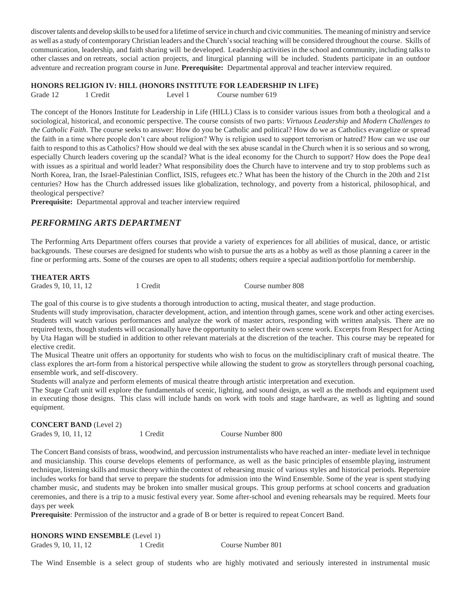discover talents and develop skills to be used for a lifetime of service in church and civic communities. The meaning of ministry and service as well as a study of contemporary Christian leaders and the Church'ssocial teaching will be considered throughout the course. Skills of communication, leadership, and faith sharing will be developed. Leadership activitiesin the school and community, including talksto other classes and on retreats, social action projects, and liturgical planning will be included. Students participate in an outdoor adventure and recreation program course in June. **Prerequisite:** Departmental approval and teacher interview required.

#### **HONORS RELIGION IV: HILL (HONORS INSTITUTE FOR LEADERSHIP IN LIFE)**

Grade 12 1 Credit Level 1 Course number 619

The concept of the Honors Institute for Leadership in Life (HILL) Class is to consider various issues from both a theological and a sociological, historical, and economic perspective. The course consists of two parts: *Virtuous Leadership* and *Modern Challenges to the Catholic Faith*. The course seeks to answer: How do you be Catholic and political? How do we as Catholics evangelize or spread the faith in a time where people don't care about religion? Why is religion used to support terrorism or hatred? How can we use our faith to respond to this as Catholics? How should we deal with the sex abuse scandal in the Church when it is so serious and so wrong, especially Church leaders covering up the scandal? What is the ideal economy for the Church to support? How does the Pope deal with issues as a spiritual and world leader? What responsibility does the Church have to intervene and try to stop problems such as North Korea, Iran, the Israel-Palestinian Conflict, ISIS, refugees etc.? What has been the history of the Church in the 20th and 21st centuries? How has the Church addressed issues like globalization, technology, and poverty from a historical, philosophical, and theological perspective?

**Prerequisite:** Departmental approval and teacher interview required

# *PERFORMING ARTS DEPARTMENT*

The Performing Arts Department offers courses that provide a variety of experiences for all abilities of musical, dance, or artistic backgrounds. These courses are designed for students who wish to pursue the arts as a hobby as well as those planning a career in the fine or performing arts. Some of the courses are open to all students; others require a special audition/portfolio for membership.

#### **THEATER ARTS**

Grades 9, 10, 11, 12 1 Credit Course number 808

The goal of this course is to give students a thorough introduction to acting, musical theater, and stage production.

Students will study improvisation, character development, action, and intention through games, scene work and other acting exercises. Students will watch various performances and analyze the work of master actors, responding with written analysis. There are no required texts, though students will occasionally have the opportunity to select their own scene work. Excerpts from Respect for Acting by Uta Hagan will be studied in addition to other relevant materials at the discretion of the teacher. This course may be repeated for elective credit.

The Musical Theatre unit offers an opportunity for students who wish to focus on the multidisciplinary craft of musical theatre. The class explores the art-form from a historical perspective while allowing the student to grow as storytellers through personal coaching, ensemble work, and self-discovery.

Students will analyze and perform elements of musical theatre through artistic interpretation and execution.

The Stage Craft unit will explore the fundamentals of scenic, lighting, and sound design, as well as the methods and equipment used in executing those designs. This class will include hands on work with tools and stage hardware, as well as lighting and sound equipment.

#### **CONCERT BAND** (Level 2) Grades 9, 10, 11, 12 1 Credit Course Number 800

The Concert Band consists of brass, woodwind, and percussion instrumentalists who have reached an inter- mediate level in technique and musicianship. This course develops elements of performance, as well as the basic principles of ensemble playing, instrument technique, listening skills and music theory within the context of rehearsing music of various styles and historical periods. Repertoire includes works for band that serve to prepare the students for admission into the Wind Ensemble. Some of the year is spent studying chamber music, and students may be broken into smaller musical groups. This group performs at school concerts and graduation ceremonies, and there is a trip to a music festival every year. Some after-school and evening rehearsals may be required. Meets four days per week

**Prerequisite**: Permission of the instructor and a grade of B or better is required to repeat Concert Band.

**HONORS WIND ENSEMBLE** (Level 1)

Grades 9, 10, 11, 12 1 Credit Course Number 801

The Wind Ensemble is a select group of students who are highly motivated and seriously interested in instrumental music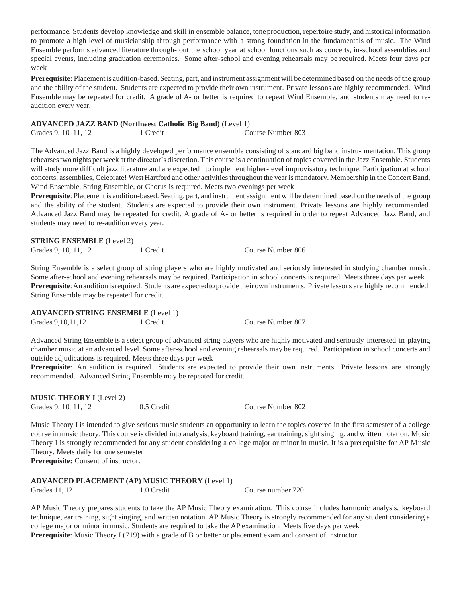performance. Students develop knowledge and skill in ensemble balance, toneproduction, repertoire study, and historical information to promote a high level of musicianship through performance with a strong foundation in the fundamentals of music. The Wind Ensemble performs advanced literature through- out the school year at school functions such as concerts, in-school assemblies and special events, including graduation ceremonies. Some after-school and evening rehearsals may be required. Meets four days per week

**Prerequisite:** Placement is audition-based. Seating, part, and instrument assignment will be determined based on the needs of the group and the ability of the student. Students are expected to provide their own instrument. Private lessons are highly recommended. Wind Ensemble may be repeated for credit. A grade of A- or better is required to repeat Wind Ensemble, and students may need to reaudition every year.

#### **ADVANCED JAZZ BAND (Northwest Catholic Big Band)** (Level 1)

Grades 9, 10, 11, 12 1 Credit Course Number 803

The Advanced Jazz Band is a highly developed performance ensemble consisting of standard big band instru- mentation. This group rehearsestwo nights per week at the director's discretion. This course is a continuation of topics covered in the Jazz Ensemble. Students will study more difficult jazz literature and are expected to implement higher-level improvisatory technique. Participation at school concerts, assemblies, Celebrate! West Hartford and other activities throughout the year is mandatory. Membership in the Concert Band, Wind Ensemble, String Ensemble, or Chorus is required. Meets two evenings per week

**Prerequisite**: Placement is audition-based. Seating, part, and instrument assignment will be determined based on the needs of the group and the ability of the student. Students are expected to provide their own instrument. Private lessons are highly recommended. Advanced Jazz Band may be repeated for credit. A grade of A- or better is required in order to repeat Advanced Jazz Band, and students may need to re-audition every year.

**STRING ENSEMBLE** (Level 2)

Grades 9, 10, 11, 12 1 Credit Course Number 806

String Ensemble is a select group of string players who are highly motivated and seriously interested in studying chamber music. Some after-school and evening rehearsals may be required. Participation in school concerts is required. Meets three days per week **Prerequisite**:An audition isrequired. Students are expected to provide their own instruments. Private lessons are highly recommended. String Ensemble may be repeated for credit.

**ADVANCED STRING ENSEMBLE** (Level 1)

Grades 9, 10, 11, 12 1 Credit Course Number 807

Advanced String Ensemble is a select group of advanced string players who are highly motivated and seriously interested in playing chamber music at an advanced level. Some after-school and evening rehearsals may be required. Participation in school concerts and outside adjudications is required. Meets three days per week

**Prerequisite**: An audition is required. Students are expected to provide their own instruments. Private lessons are strongly recommended. Advanced String Ensemble may be repeated for credit.

**MUSIC THEORY I** (Level 2) Grades 9, 10, 11, 12 0.5 Credit Course Number 802

Music Theory I is intended to give serious music students an opportunity to learn the topics covered in the first semester of a college course in music theory. This course is divided into analysis, keyboard training, ear training, sight singing, and written notation. Music Theory I is strongly recommended for any student considering a college major or minor in music. It is a prerequisite for AP Music Theory. Meets daily for one semester

**Prerequisite:** Consent of instructor.

**ADVANCED PLACEMENT (AP) MUSIC THEORY** (Level 1) Grades 11, 12 1.0 Credit Course number 720

AP Music Theory prepares students to take the AP Music Theory examination. This course includes harmonic analysis, keyboard technique, ear training, sight singing, and written notation. AP Music Theory is strongly recommended for any student considering a college major or minor in music. Students are required to take the AP examination. Meets five days per week **Prerequisite**: Music Theory I (719) with a grade of B or better or placement exam and consent of instructor.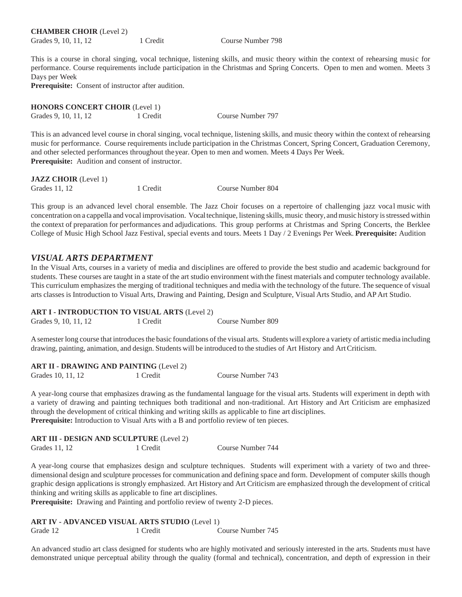**CHAMBER CHOIR** (Level 2) Grades 9, 10, 11, 12 1 Credit Course Number 798

This is a course in choral singing, vocal technique, listening skills, and music theory within the context of rehearsing music for performance. Course requirements include participation in the Christmas and Spring Concerts. Open to men and women. Meets 3 Days per Week

**Prerequisite:** Consent of instructor after audition.

**HONORS CONCERT CHOIR** (Level 1) Grades 9, 10, 11, 12 1 Credit Course Number 797

This is an advanced level course in choral singing, vocal technique, listening skills, and music theory within the context of rehearsing music for performance. Course requirements include participation in the Christmas Concert, Spring Concert, Graduation Ceremony, and other selected performances throughout theyear. Open to men and women. Meets 4 Days Per Week. **Prerequisite:** Audition and consent of instructor.

| <b>JAZZ CHOIR</b> (Level 1) |          |                   |
|-----------------------------|----------|-------------------|
| Grades 11, 12               | 1 Credit | Course Number 804 |

This group is an advanced level choral ensemble. The Jazz Choir focuses on a repertoire of challenging jazz vocal music with concentration on a cappella and vocal improvisation. Vocaltechnique, listening skills, music theory, andmusic history isstressed within the context of preparation for performances and adjudications. This group performs at Christmas and Spring Concerts, the Berklee College of Music High School Jazz Festival, special events and tours. Meets 1 Day / 2 Evenings Per Week. **Prerequisite:** Audition

### *VISUAL ARTS DEPARTMENT*

In the Visual Arts, courses in a variety of media and disciplines are offered to provide the best studio and academic background for students. These courses are taught in a state of the art studio environment with the finest materials and computer technology available. This curriculum emphasizes the merging of traditional techniques and media with the technology of the future. The sequence of visual arts classes is Introduction to Visual Arts, Drawing and Painting, Design and Sculpture, Visual Arts Studio, and APArt Studio.

#### **ART I - INTRODUCTION TO VISUAL ARTS** (Level 2)

| Grades 9, 10, 11, 12<br>1 Credit |  | Course Number 809 |
|----------------------------------|--|-------------------|

A semester long course that introduces the basic foundations of the visual arts. Students will explore a variety of artistic media including drawing, painting, animation, and design. Students will be introduced to the studies of Art History and ArtCriticism.

#### **ART II - DRAWING AND PAINTING** (Level 2)

A year-long course that emphasizes drawing as the fundamental language for the visual arts. Students will experiment in depth with a variety of drawing and painting techniques both traditional and non-traditional. Art History and Art Criticism are emphasized through the development of critical thinking and writing skills as applicable to fine art disciplines. Prerequisite: Introduction to Visual Arts with a B and portfolio review of ten pieces.

**ART III - DESIGN AND SCULPTURE** (Level 2)

Grades 11, 12 1 Credit Course Number 744

A year-long course that emphasizes design and sculpture techniques. Students will experiment with a variety of two and threedimensional design and sculpture processes for communication and defining space and form. Development of computer skills though graphic design applications is strongly emphasized. Art History and Art Criticism are emphasized through the development of critical thinking and writing skills as applicable to fine art disciplines.

Prerequisite: Drawing and Painting and portfolio review of twenty 2-D pieces.

# **ART IV - ADVANCED VISUAL ARTS STUDIO** (Level 1)

Grade 12 1 Credit Course Number 745

An advanced studio art class designed for students who are highly motivated and seriously interested in the arts. Students must have demonstrated unique perceptual ability through the quality (formal and technical), concentration, and depth of expression in their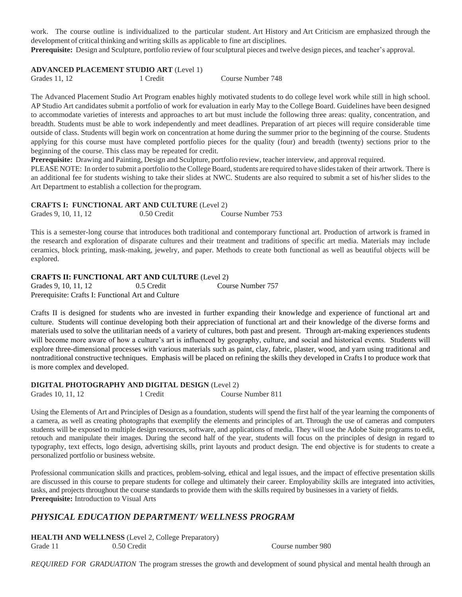work. The course outline is individualized to the particular student. Art History and Art Criticism are emphasized through the development of critical thinking and writing skills as applicable to fine art disciplines.

**Prerequisite:** Design and Sculpture, portfolio review of four sculptural pieces and twelve design pieces, and teacher's approval.

### **ADVANCED PLACEMENT STUDIO ART** (Level 1)

```
Grades 11, 12 1 Credit Course Number 748
```
The Advanced Placement Studio Art Program enables highly motivated students to do college level work while still in high school. AP Studio Art candidates submit a portfolio of work for evaluation in early May to the College Board. Guidelines have been designed to accommodate varieties of interests and approaches to art but must include the following three areas: quality, concentration, and breadth. Students must be able to work independently and meet deadlines. Preparation of art pieces will require considerable time outside of class. Students will begin work on concentration at home during the summer prior to the beginning of the course. Students applying for this course must have completed portfolio pieces for the quality (four) and breadth (twenty) sections prior to the beginning of the course. This class may be repeated for credit.

**Prerequisite:** Drawing and Painting, Design and Sculpture, portfolio review, teacher interview, and approval required.

PLEASE NOTE: In order to submit a portfolio to the College Board, students are required to have slides taken of their artwork. There is an additional fee for students wishing to take their slides at NWC. Students are also required to submit a set of his/her slides to the Art Department to establish a collection for theprogram.

**CRAFTS I: FUNCTIONAL ART AND CULTURE** (Level 2)

Grades 9, 10, 11, 12 0.50 Credit Course Number 753

This is a semester-long course that introduces both traditional and contemporary functional art. Production of artwork is framed in the research and exploration of disparate cultures and their treatment and traditions of specific art media. Materials may include ceramics, block printing, mask-making, jewelry, and paper. Methods to create both functional as well as beautiful objects will be explored.

#### **CRAFTS II: FUNCTIONAL ART AND CULTURE** (Level 2)

Grades 9, 10, 11, 12 0.5 Credit Course Number 757 Prerequisite: Crafts I: Functional Art and Culture

Crafts II is designed for students who are invested in further expanding their knowledge and experience of functional art and culture. Students will continue developing both their appreciation of functional art and their knowledge of the diverse forms and materials used to solve the utilitarian needs of a variety of cultures, both past and present. Through art-making experiences students will become more aware of how a culture's art is influenced by geography, culture, and social and historical events. Students will explore three-dimensional processes with various materials such as paint, clay, fabric, plaster, wood, and yarn using traditional and nontraditional constructive techniques. Emphasis will be placed on refining the skills they developed in Crafts I to produce work that is more complex and developed.

# **DIGITAL PHOTOGRAPHY AND DIGITAL DESIGN** (Level 2)

Grades 10, 11, 12 1 Credit Course Number 811

Using the Elements of Art and Principles of Design as a foundation, students will spend the first half of the year learning the components of a camera, as well as creating photographs that exemplify the elements and principles of art. Through the use of cameras and computers students will be exposed to multiple design resources, software, and applications of media. They will use the Adobe Suite programs to edit, retouch and manipulate their images. During the second half of the year, students will focus on the principles of design in regard to typography, text effects, logo design, advertising skills, print layouts and product design. The end objective is for students to create a personalized portfolio or business website.

Professional communication skills and practices, problem-solving, ethical and legal issues, and the impact of effective presentation skills are discussed in this course to prepare students for college and ultimately their career. Employability skills are integrated into activities, tasks, and projects throughout the course standards to provide them with the skills required by businesses in a variety of fields. **Prerequisite:** Introduction to Visual Arts

# *PHYSICAL EDUCATION DEPARTMENT/ WELLNESS PROGRAM*

**HEALTH AND WELLNESS** (Level 2, College Preparatory) Grade 11 0.50 Credit Course number 980

*REQUIRED FOR GRADUATION* The program stresses the growth and development of sound physical and mental health through an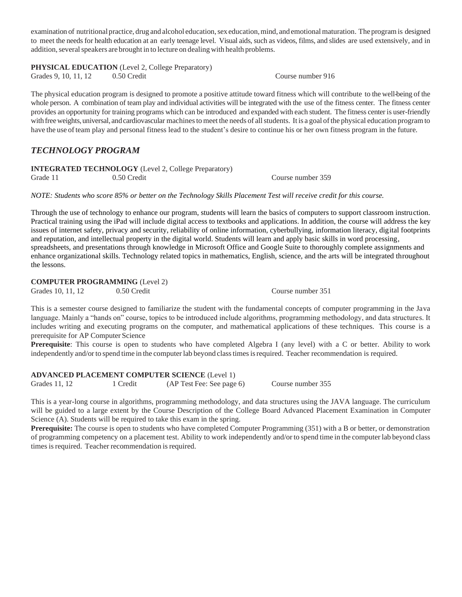examination of nutritional practice, drug and alcohol education, sex education, mind, and emotional maturation. The program is designed to meet the needsfor health education at an early teenage level. Visual aids, such as videos, films, and slides are used extensively, and in addition, several speakers are brought in to lecture on dealing with health problems.

**PHYSICAL EDUCATION** (Level 2, College Preparatory)

Grades 9, 10, 11, 12 0.50 Credit Course number 916

The physical education program is designed to promote a positive attitude toward fitness which will contribute to the well-being of the whole person. A combination of team play and individual activities will be integrated with the use of the fitness center. The fitness center provides an opportunity for training programs which can be introduced and expanded with each student. The fitness center is user-friendly with free weights, universal, and cardiovascular machines to meet the needs of all students. It is a goal of the physical education program to have the use of team play and personal fitness lead to the student's desire to continue his or her own fitness program in the future.

# *TECHNOLOGY PROGRAM*

**INTEGRATED TECHNOLOGY** (Level 2, College Preparatory) Grade 11 0.50 Credit Course number 359

*NOTE: Students who score 85% or better on the Technology Skills Placement Test will receive credit for this course.*

Through the use of technology to enhance our program, students will learn the basics of computers to support classroom instruction. Practical training using the iPad will include digital access to textbooks and applications. In addition, the course will address the key issues of internet safety, privacy and security, reliability of online information, cyberbullying, information literacy, digital footprints and reputation, and intellectual property in the digital world. Students will learn and apply basic skills in word processing, spreadsheets, and presentations through knowledge in Microsoft Office and Google Suite to thoroughly complete assignments and enhance organizational skills. Technology related topics in mathematics, English, science, and the arts will be integrated throughout the lessons.

### **COMPUTER PROGRAMMING** (Level 2)

Grades 10, 11, 12 0.50 Credit Course number 351

This is a semester course designed to familiarize the student with the fundamental concepts of computer programming in the Java language. Mainly a "hands on" course, topics to be introduced include algorithms, programming methodology, and data structures. It includes writing and executing programs on the computer, and mathematical applications of these techniques. This course is a prerequisite for AP Computer Science

**Prerequisite**: This course is open to students who have completed Algebra I (any level) with a C or better. Ability to work independently and/or to spend time in the computer lab beyond class times is required. Teacher recommendation is required.

**ADVANCED PLACEMENT COMPUTER SCIENCE** (Level 1) Grades 11, 12 1 Credit (AP Test Fee: See page 6) Course number 355

This is a year-long course in algorithms, programming methodology, and data structures using the JAVA language. The curriculum will be guided to a large extent by the Course Description of the College Board Advanced Placement Examination in Computer Science (A). Students will be required to take this exam in the spring.

**Prerequisite:** The course is open to students who have completed Computer Programming (351) with a B or better, or demonstration of programming competency on a placement test. Ability to work independently and/or to spend time in the computer lab beyond class times is required. Teacher recommendation is required.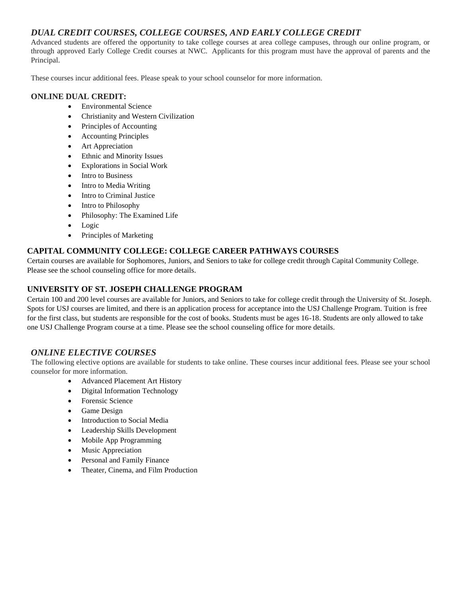# *DUAL CREDIT COURSES, COLLEGE COURSES, AND EARLY COLLEGE CREDIT*

Advanced students are offered the opportunity to take college courses at area college campuses, through our online program, or through approved Early College Credit courses at NWC. Applicants for this program must have the approval of parents and the Principal.

These courses incur additional fees. Please speak to your school counselor for more information.

### **ONLINE DUAL CREDIT:**

- Environmental Science
- Christianity and Western Civilization
- Principles of Accounting
- Accounting Principles
- Art Appreciation
- Ethnic and Minority Issues
- Explorations in Social Work
- Intro to Business
- Intro to Media Writing
- Intro to Criminal Justice
- Intro to Philosophy
- Philosophy: The Examined Life
- Logic
- Principles of Marketing

### **CAPITAL COMMUNITY COLLEGE: COLLEGE CAREER PATHWAYS COURSES**

Certain courses are available for Sophomores, Juniors, and Seniors to take for college credit through Capital Community College. Please see the school counseling office for more details.

### **UNIVERSITY OF ST. JOSEPH CHALLENGE PROGRAM**

Certain 100 and 200 level courses are available for Juniors, and Seniors to take for college credit through the University of St. Joseph. Spots for USJ courses are limited, and there is an application process for acceptance into the USJ Challenge Program. Tuition is free for the first class, but students are responsible for the cost of books. Students must be ages 16-18. Students are only allowed to take one USJ Challenge Program course at a time. Please see the school counseling office for more details.

# *ONLINE ELECTIVE COURSES*

The following elective options are available for students to take online. These courses incur additional fees. Please see your school counselor for more information.

- Advanced Placement Art History
- Digital Information Technology
- Forensic Science
- Game Design
- Introduction to Social Media
- Leadership Skills Development
- Mobile App Programming
- Music Appreciation
- Personal and Family Finance
- Theater, Cinema, and Film Production